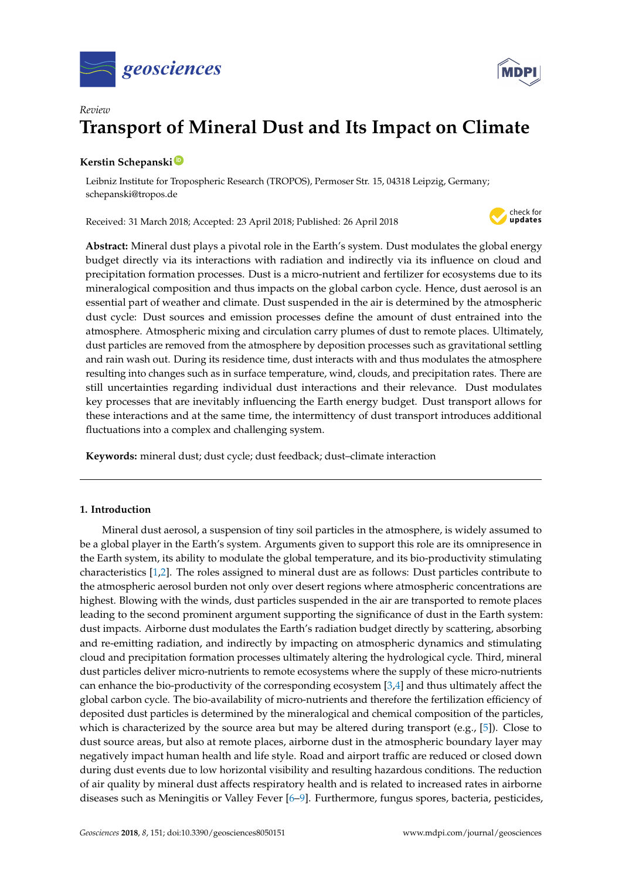



# *Review* **Transport of Mineral Dust and Its Impact on Climate**

## **Kerstin Schepanski [ID](https://orcid.org/0000-0002-1027-6786)**

Leibniz Institute for Tropospheric Research (TROPOS), Permoser Str. 15, 04318 Leipzig, Germany; schepanski@tropos.de

Received: 31 March 2018; Accepted: 23 April 2018; Published: 26 April 2018



**Abstract:** Mineral dust plays a pivotal role in the Earth's system. Dust modulates the global energy budget directly via its interactions with radiation and indirectly via its influence on cloud and precipitation formation processes. Dust is a micro-nutrient and fertilizer for ecosystems due to its mineralogical composition and thus impacts on the global carbon cycle. Hence, dust aerosol is an essential part of weather and climate. Dust suspended in the air is determined by the atmospheric dust cycle: Dust sources and emission processes define the amount of dust entrained into the atmosphere. Atmospheric mixing and circulation carry plumes of dust to remote places. Ultimately, dust particles are removed from the atmosphere by deposition processes such as gravitational settling and rain wash out. During its residence time, dust interacts with and thus modulates the atmosphere resulting into changes such as in surface temperature, wind, clouds, and precipitation rates. There are still uncertainties regarding individual dust interactions and their relevance. Dust modulates key processes that are inevitably influencing the Earth energy budget. Dust transport allows for these interactions and at the same time, the intermittency of dust transport introduces additional fluctuations into a complex and challenging system.

**Keywords:** mineral dust; dust cycle; dust feedback; dust–climate interaction

## **1. Introduction**

Mineral dust aerosol, a suspension of tiny soil particles in the atmosphere, is widely assumed to be a global player in the Earth's system. Arguments given to support this role are its omnipresence in the Earth system, its ability to modulate the global temperature, and its bio-productivity stimulating characteristics [\[1](#page-12-0)[,2\]](#page-12-1). The roles assigned to mineral dust are as follows: Dust particles contribute to the atmospheric aerosol burden not only over desert regions where atmospheric concentrations are highest. Blowing with the winds, dust particles suspended in the air are transported to remote places leading to the second prominent argument supporting the significance of dust in the Earth system: dust impacts. Airborne dust modulates the Earth's radiation budget directly by scattering, absorbing and re-emitting radiation, and indirectly by impacting on atmospheric dynamics and stimulating cloud and precipitation formation processes ultimately altering the hydrological cycle. Third, mineral dust particles deliver micro-nutrients to remote ecosystems where the supply of these micro-nutrients can enhance the bio-productivity of the corresponding ecosystem [\[3](#page-12-2)[,4\]](#page-12-3) and thus ultimately affect the global carbon cycle. The bio-availability of micro-nutrients and therefore the fertilization efficiency of deposited dust particles is determined by the mineralogical and chemical composition of the particles, which is characterized by the source area but may be altered during transport (e.g.,  $[5]$ ). Close to dust source areas, but also at remote places, airborne dust in the atmospheric boundary layer may negatively impact human health and life style. Road and airport traffic are reduced or closed down during dust events due to low horizontal visibility and resulting hazardous conditions. The reduction of air quality by mineral dust affects respiratory health and is related to increased rates in airborne diseases such as Meningitis or Valley Fever [\[6–](#page-12-5)[9\]](#page-12-6). Furthermore, fungus spores, bacteria, pesticides,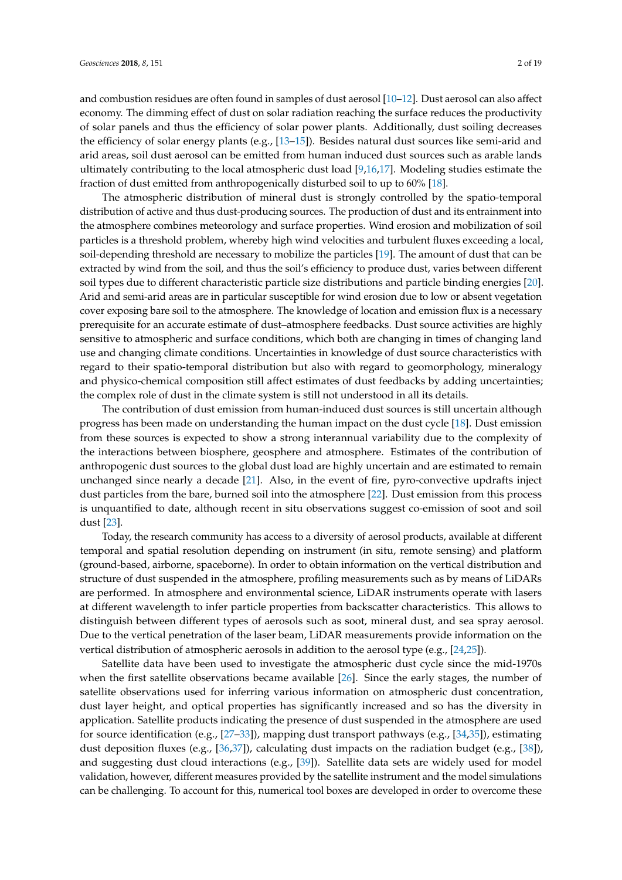and combustion residues are often found in samples of dust aerosol [\[10–](#page-12-7)[12\]](#page-12-8). Dust aerosol can also affect economy. The dimming effect of dust on solar radiation reaching the surface reduces the productivity of solar panels and thus the efficiency of solar power plants. Additionally, dust soiling decreases the efficiency of solar energy plants (e.g., [\[13](#page-12-9)[–15\]](#page-12-10)). Besides natural dust sources like semi-arid and arid areas, soil dust aerosol can be emitted from human induced dust sources such as arable lands ultimately contributing to the local atmospheric dust load [\[9,](#page-12-6)[16,](#page-12-11)[17\]](#page-12-12). Modeling studies estimate the fraction of dust emitted from anthropogenically disturbed soil to up to 60% [\[18\]](#page-12-13).

The atmospheric distribution of mineral dust is strongly controlled by the spatio-temporal distribution of active and thus dust-producing sources. The production of dust and its entrainment into the atmosphere combines meteorology and surface properties. Wind erosion and mobilization of soil particles is a threshold problem, whereby high wind velocities and turbulent fluxes exceeding a local, soil-depending threshold are necessary to mobilize the particles [\[19\]](#page-12-14). The amount of dust that can be extracted by wind from the soil, and thus the soil's efficiency to produce dust, varies between different soil types due to different characteristic particle size distributions and particle binding energies [\[20\]](#page-12-15). Arid and semi-arid areas are in particular susceptible for wind erosion due to low or absent vegetation cover exposing bare soil to the atmosphere. The knowledge of location and emission flux is a necessary prerequisite for an accurate estimate of dust–atmosphere feedbacks. Dust source activities are highly sensitive to atmospheric and surface conditions, which both are changing in times of changing land use and changing climate conditions. Uncertainties in knowledge of dust source characteristics with regard to their spatio-temporal distribution but also with regard to geomorphology, mineralogy and physico-chemical composition still affect estimates of dust feedbacks by adding uncertainties; the complex role of dust in the climate system is still not understood in all its details.

The contribution of dust emission from human-induced dust sources is still uncertain although progress has been made on understanding the human impact on the dust cycle [\[18\]](#page-12-13). Dust emission from these sources is expected to show a strong interannual variability due to the complexity of the interactions between biosphere, geosphere and atmosphere. Estimates of the contribution of anthropogenic dust sources to the global dust load are highly uncertain and are estimated to remain unchanged since nearly a decade [\[21\]](#page-12-16). Also, in the event of fire, pyro-convective updrafts inject dust particles from the bare, burned soil into the atmosphere [\[22\]](#page-12-17). Dust emission from this process is unquantified to date, although recent in situ observations suggest co-emission of soot and soil dust [\[23\]](#page-12-18).

Today, the research community has access to a diversity of aerosol products, available at different temporal and spatial resolution depending on instrument (in situ, remote sensing) and platform (ground-based, airborne, spaceborne). In order to obtain information on the vertical distribution and structure of dust suspended in the atmosphere, profiling measurements such as by means of LiDARs are performed. In atmosphere and environmental science, LiDAR instruments operate with lasers at different wavelength to infer particle properties from backscatter characteristics. This allows to distinguish between different types of aerosols such as soot, mineral dust, and sea spray aerosol. Due to the vertical penetration of the laser beam, LiDAR measurements provide information on the vertical distribution of atmospheric aerosols in addition to the aerosol type (e.g., [\[24,](#page-12-19)[25\]](#page-13-0)).

Satellite data have been used to investigate the atmospheric dust cycle since the mid-1970s when the first satellite observations became available [\[26\]](#page-13-1). Since the early stages, the number of satellite observations used for inferring various information on atmospheric dust concentration, dust layer height, and optical properties has significantly increased and so has the diversity in application. Satellite products indicating the presence of dust suspended in the atmosphere are used for source identification (e.g., [\[27](#page-13-2)[–33\]](#page-13-3)), mapping dust transport pathways (e.g., [\[34](#page-13-4)[,35\]](#page-13-5)), estimating dust deposition fluxes (e.g., [\[36](#page-13-6)[,37\]](#page-13-7)), calculating dust impacts on the radiation budget (e.g., [\[38\]](#page-13-8)), and suggesting dust cloud interactions (e.g., [\[39\]](#page-13-9)). Satellite data sets are widely used for model validation, however, different measures provided by the satellite instrument and the model simulations can be challenging. To account for this, numerical tool boxes are developed in order to overcome these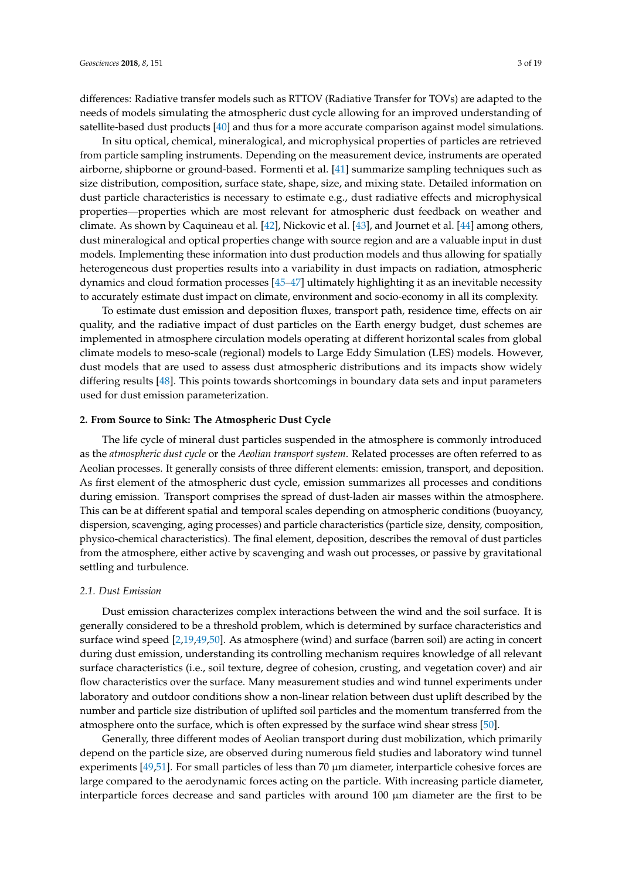differences: Radiative transfer models such as RTTOV (Radiative Transfer for TOVs) are adapted to the needs of models simulating the atmospheric dust cycle allowing for an improved understanding of satellite-based dust products [\[40\]](#page-13-10) and thus for a more accurate comparison against model simulations.

In situ optical, chemical, mineralogical, and microphysical properties of particles are retrieved from particle sampling instruments. Depending on the measurement device, instruments are operated airborne, shipborne or ground-based. Formenti et al. [\[41\]](#page-13-11) summarize sampling techniques such as size distribution, composition, surface state, shape, size, and mixing state. Detailed information on dust particle characteristics is necessary to estimate e.g., dust radiative effects and microphysical properties—properties which are most relevant for atmospheric dust feedback on weather and climate. As shown by Caquineau et al. [\[42\]](#page-13-12), Nickovic et al. [\[43\]](#page-13-13), and Journet et al. [\[44\]](#page-13-14) among others, dust mineralogical and optical properties change with source region and are a valuable input in dust models. Implementing these information into dust production models and thus allowing for spatially heterogeneous dust properties results into a variability in dust impacts on radiation, atmospheric dynamics and cloud formation processes [\[45](#page-13-15)[–47\]](#page-14-0) ultimately highlighting it as an inevitable necessity to accurately estimate dust impact on climate, environment and socio-economy in all its complexity.

To estimate dust emission and deposition fluxes, transport path, residence time, effects on air quality, and the radiative impact of dust particles on the Earth energy budget, dust schemes are implemented in atmosphere circulation models operating at different horizontal scales from global climate models to meso-scale (regional) models to Large Eddy Simulation (LES) models. However, dust models that are used to assess dust atmospheric distributions and its impacts show widely differing results [\[48\]](#page-14-1). This points towards shortcomings in boundary data sets and input parameters used for dust emission parameterization.

## **2. From Source to Sink: The Atmospheric Dust Cycle**

The life cycle of mineral dust particles suspended in the atmosphere is commonly introduced as the *atmospheric dust cycle* or the *Aeolian transport system*. Related processes are often referred to as Aeolian processes. It generally consists of three different elements: emission, transport, and deposition. As first element of the atmospheric dust cycle, emission summarizes all processes and conditions during emission. Transport comprises the spread of dust-laden air masses within the atmosphere. This can be at different spatial and temporal scales depending on atmospheric conditions (buoyancy, dispersion, scavenging, aging processes) and particle characteristics (particle size, density, composition, physico-chemical characteristics). The final element, deposition, describes the removal of dust particles from the atmosphere, either active by scavenging and wash out processes, or passive by gravitational settling and turbulence.

#### *2.1. Dust Emission*

Dust emission characterizes complex interactions between the wind and the soil surface. It is generally considered to be a threshold problem, which is determined by surface characteristics and surface wind speed [\[2,](#page-12-1)[19,](#page-12-14)[49](#page-14-2)[,50\]](#page-14-3). As atmosphere (wind) and surface (barren soil) are acting in concert during dust emission, understanding its controlling mechanism requires knowledge of all relevant surface characteristics (i.e., soil texture, degree of cohesion, crusting, and vegetation cover) and air flow characteristics over the surface. Many measurement studies and wind tunnel experiments under laboratory and outdoor conditions show a non-linear relation between dust uplift described by the number and particle size distribution of uplifted soil particles and the momentum transferred from the atmosphere onto the surface, which is often expressed by the surface wind shear stress [\[50\]](#page-14-3).

Generally, three different modes of Aeolian transport during dust mobilization, which primarily depend on the particle size, are observed during numerous field studies and laboratory wind tunnel experiments  $[49,51]$  $[49,51]$ . For small particles of less than 70  $\mu$ m diameter, interparticle cohesive forces are large compared to the aerodynamic forces acting on the particle. With increasing particle diameter, interparticle forces decrease and sand particles with around 100 µm diameter are the first to be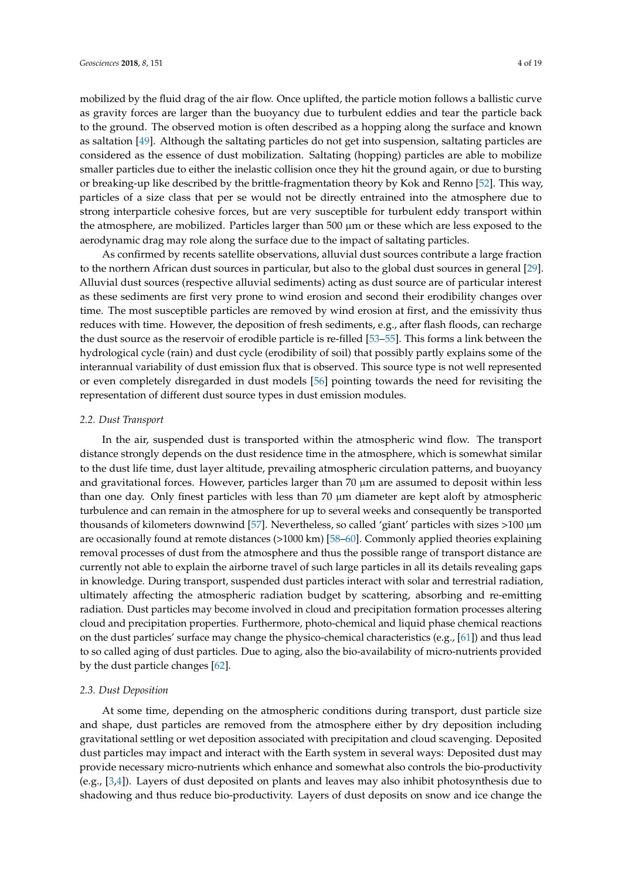mobilized by the fluid drag of the air flow. Once uplifted, the particle motion follows a ballistic curve as gravity forces are larger than the buoyancy due to turbulent eddies and tear the particle back to the ground. The observed motion is often described as a hopping along the surface and known as saltation [\[49\]](#page-14-2). Although the saltating particles do not get into suspension, saltating particles are considered as the essence of dust mobilization. Saltating (hopping) particles are able to mobilize smaller particles due to either the inelastic collision once they hit the ground again, or due to bursting or breaking-up like described by the brittle-fragmentation theory by Kok and Renno [\[52\]](#page-14-5). This way, particles of a size class that per se would not be directly entrained into the atmosphere due to strong interparticle cohesive forces, but are very susceptible for turbulent eddy transport within the atmosphere, are mobilized. Particles larger than 500 µm or these which are less exposed to the aerodynamic drag may role along the surface due to the impact of saltating particles.

As confirmed by recents satellite observations, alluvial dust sources contribute a large fraction to the northern African dust sources in particular, but also to the global dust sources in general [\[29\]](#page-13-16). Alluvial dust sources (respective alluvial sediments) acting as dust source are of particular interest as these sediments are first very prone to wind erosion and second their erodibility changes over time. The most susceptible particles are removed by wind erosion at first, and the emissivity thus reduces with time. However, the deposition of fresh sediments, e.g., after flash floods, can recharge the dust source as the reservoir of erodible particle is re-filled [\[53](#page-14-6)[–55\]](#page-14-7). This forms a link between the hydrological cycle (rain) and dust cycle (erodibility of soil) that possibly partly explains some of the interannual variability of dust emission flux that is observed. This source type is not well represented or even completely disregarded in dust models [\[56\]](#page-14-8) pointing towards the need for revisiting the representation of different dust source types in dust emission modules.

#### *2.2. Dust Transport*

In the air, suspended dust is transported within the atmospheric wind flow. The transport distance strongly depends on the dust residence time in the atmosphere, which is somewhat similar to the dust life time, dust layer altitude, prevailing atmospheric circulation patterns, and buoyancy and gravitational forces. However, particles larger than  $70 \mu m$  are assumed to deposit within less than one day. Only finest particles with less than 70 µm diameter are kept aloft by atmospheric turbulence and can remain in the atmosphere for up to several weeks and consequently be transported thousands of kilometers downwind [\[57\]](#page-14-9). Nevertheless, so called 'giant' particles with sizes >100 µm are occasionally found at remote distances (>1000 km) [\[58–](#page-14-10)[60\]](#page-14-11). Commonly applied theories explaining removal processes of dust from the atmosphere and thus the possible range of transport distance are currently not able to explain the airborne travel of such large particles in all its details revealing gaps in knowledge. During transport, suspended dust particles interact with solar and terrestrial radiation, ultimately affecting the atmospheric radiation budget by scattering, absorbing and re-emitting radiation. Dust particles may become involved in cloud and precipitation formation processes altering cloud and precipitation properties. Furthermore, photo-chemical and liquid phase chemical reactions on the dust particles' surface may change the physico-chemical characteristics (e.g., [\[61\]](#page-14-12)) and thus lead to so called aging of dust particles. Due to aging, also the bio-availability of micro-nutrients provided by the dust particle changes [\[62\]](#page-14-13).

## *2.3. Dust Deposition*

At some time, depending on the atmospheric conditions during transport, dust particle size and shape, dust particles are removed from the atmosphere either by dry deposition including gravitational settling or wet deposition associated with precipitation and cloud scavenging. Deposited dust particles may impact and interact with the Earth system in several ways: Deposited dust may provide necessary micro-nutrients which enhance and somewhat also controls the bio-productivity (e.g., [\[3,](#page-12-2)[4\]](#page-12-3)). Layers of dust deposited on plants and leaves may also inhibit photosynthesis due to shadowing and thus reduce bio-productivity. Layers of dust deposits on snow and ice change the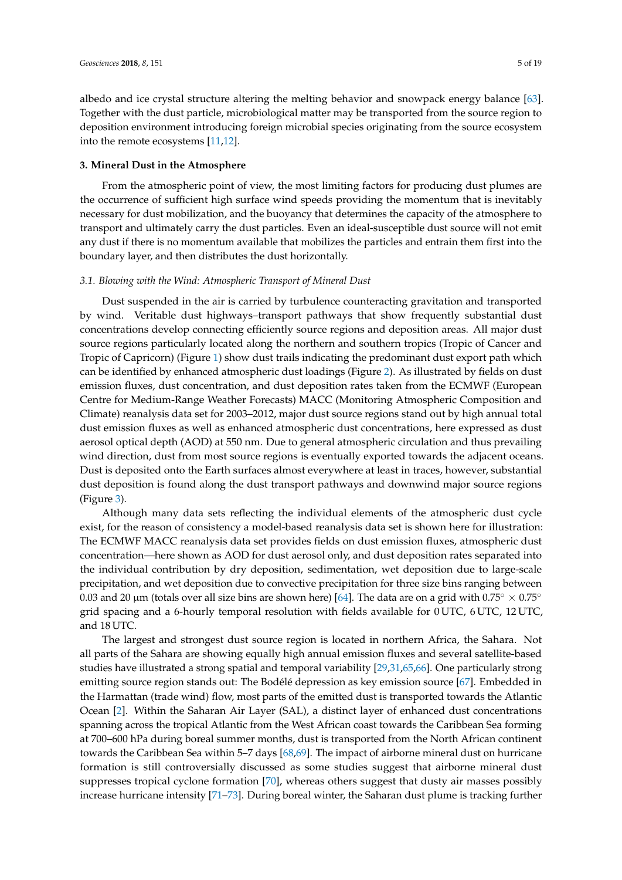albedo and ice crystal structure altering the melting behavior and snowpack energy balance [\[63\]](#page-14-14). Together with the dust particle, microbiological matter may be transported from the source region to deposition environment introducing foreign microbial species originating from the source ecosystem into the remote ecosystems [\[11](#page-12-20)[,12\]](#page-12-8).

#### **3. Mineral Dust in the Atmosphere**

From the atmospheric point of view, the most limiting factors for producing dust plumes are the occurrence of sufficient high surface wind speeds providing the momentum that is inevitably necessary for dust mobilization, and the buoyancy that determines the capacity of the atmosphere to transport and ultimately carry the dust particles. Even an ideal-susceptible dust source will not emit any dust if there is no momentum available that mobilizes the particles and entrain them first into the boundary layer, and then distributes the dust horizontally.

#### *3.1. Blowing with the Wind: Atmospheric Transport of Mineral Dust*

Dust suspended in the air is carried by turbulence counteracting gravitation and transported by wind. Veritable dust highways–transport pathways that show frequently substantial dust concentrations develop connecting efficiently source regions and deposition areas. All major dust source regions particularly located along the northern and southern tropics (Tropic of Cancer and Tropic of Capricorn) (Figure [1\)](#page-5-0) show dust trails indicating the predominant dust export path which can be identified by enhanced atmospheric dust loadings (Figure [2\)](#page-6-0). As illustrated by fields on dust emission fluxes, dust concentration, and dust deposition rates taken from the ECMWF (European Centre for Medium-Range Weather Forecasts) MACC (Monitoring Atmospheric Composition and Climate) reanalysis data set for 2003–2012, major dust source regions stand out by high annual total dust emission fluxes as well as enhanced atmospheric dust concentrations, here expressed as dust aerosol optical depth (AOD) at 550 nm. Due to general atmospheric circulation and thus prevailing wind direction, dust from most source regions is eventually exported towards the adjacent oceans. Dust is deposited onto the Earth surfaces almost everywhere at least in traces, however, substantial dust deposition is found along the dust transport pathways and downwind major source regions (Figure [3\)](#page-6-1).

Although many data sets reflecting the individual elements of the atmospheric dust cycle exist, for the reason of consistency a model-based reanalysis data set is shown here for illustration: The ECMWF MACC reanalysis data set provides fields on dust emission fluxes, atmospheric dust concentration—here shown as AOD for dust aerosol only, and dust deposition rates separated into the individual contribution by dry deposition, sedimentation, wet deposition due to large-scale precipitation, and wet deposition due to convective precipitation for three size bins ranging between 0.03 and 20  $\mu$ m (totals over all size bins are shown here) [\[64\]](#page-14-15). The data are on a grid with 0.75° × 0.75° grid spacing and a 6-hourly temporal resolution with fields available for 0 UTC, 6 UTC, 12 UTC, and 18 UTC.

The largest and strongest dust source region is located in northern Africa, the Sahara. Not all parts of the Sahara are showing equally high annual emission fluxes and several satellite-based studies have illustrated a strong spatial and temporal variability [\[29](#page-13-16)[,31](#page-13-17)[,65,](#page-14-16)[66\]](#page-14-17). One particularly strong emitting source region stands out: The Bodélé depression as key emission source [\[67\]](#page-14-18). Embedded in the Harmattan (trade wind) flow, most parts of the emitted dust is transported towards the Atlantic Ocean [\[2\]](#page-12-1). Within the Saharan Air Layer (SAL), a distinct layer of enhanced dust concentrations spanning across the tropical Atlantic from the West African coast towards the Caribbean Sea forming at 700–600 hPa during boreal summer months, dust is transported from the North African continent towards the Caribbean Sea within 5–7 days [\[68](#page-15-0)[,69\]](#page-15-1). The impact of airborne mineral dust on hurricane formation is still controversially discussed as some studies suggest that airborne mineral dust suppresses tropical cyclone formation [\[70\]](#page-15-2), whereas others suggest that dusty air masses possibly increase hurricane intensity [\[71–](#page-15-3)[73\]](#page-15-4). During boreal winter, the Saharan dust plume is tracking further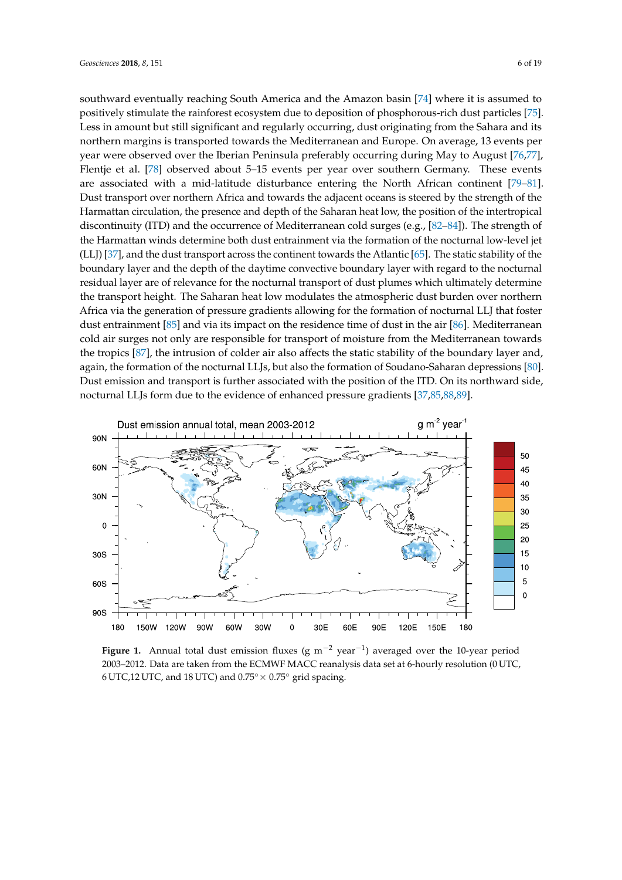southward eventually reaching South America and the Amazon basin [\[74\]](#page-15-5) where it is assumed to positively stimulate the rainforest ecosystem due to deposition of phosphorous-rich dust particles [\[75\]](#page-15-6). Less in amount but still significant and regularly occurring, dust originating from the Sahara and its northern margins is transported towards the Mediterranean and Europe. On average, 13 events per year were observed over the Iberian Peninsula preferably occurring during May to August [\[76,](#page-15-7)[77\]](#page-15-8), Flentje et al. [\[78\]](#page-15-9) observed about 5–15 events per year over southern Germany. These events are associated with a mid-latitude disturbance entering the North African continent [\[79–](#page-15-10)[81\]](#page-15-11). Dust transport over northern Africa and towards the adjacent oceans is steered by the strength of the Harmattan circulation, the presence and depth of the Saharan heat low, the position of the intertropical discontinuity (ITD) and the occurrence of Mediterranean cold surges (e.g., [\[82–](#page-15-12)[84\]](#page-15-13)). The strength of the Harmattan winds determine both dust entrainment via the formation of the nocturnal low-level jet (LLJ) [\[37\]](#page-13-7), and the dust transport across the continent towards the Atlantic [\[65\]](#page-14-16). The static stability of the boundary layer and the depth of the daytime convective boundary layer with regard to the nocturnal residual layer are of relevance for the nocturnal transport of dust plumes which ultimately determine the transport height. The Saharan heat low modulates the atmospheric dust burden over northern Africa via the generation of pressure gradients allowing for the formation of nocturnal LLJ that foster dust entrainment [\[85\]](#page-15-14) and via its impact on the residence time of dust in the air [\[86\]](#page-15-15). Mediterranean cold air surges not only are responsible for transport of moisture from the Mediterranean towards the tropics [\[87\]](#page-15-16), the intrusion of colder air also affects the static stability of the boundary layer and, again, the formation of the nocturnal LLJs, but also the formation of Soudano-Saharan depressions [\[80\]](#page-15-17). Dust emission and transport is further associated with the position of the ITD. On its northward side, nocturnal LLJs form due to the evidence of enhanced pressure gradients [\[37,](#page-13-7)[85,](#page-15-14)[88,](#page-16-0)[89\]](#page-16-1).

<span id="page-5-0"></span>

**Figure 1.** Annual total dust emission fluxes (g m−<sup>2</sup> year−<sup>1</sup> ) averaged over the 10-year period 2003–2012. Data are taken from the ECMWF MACC reanalysis data set at 6-hourly resolution (0 UTC, 6 UTC,12 UTC, and 18 UTC) and  $0.75^{\circ} \times 0.75^{\circ}$  grid spacing.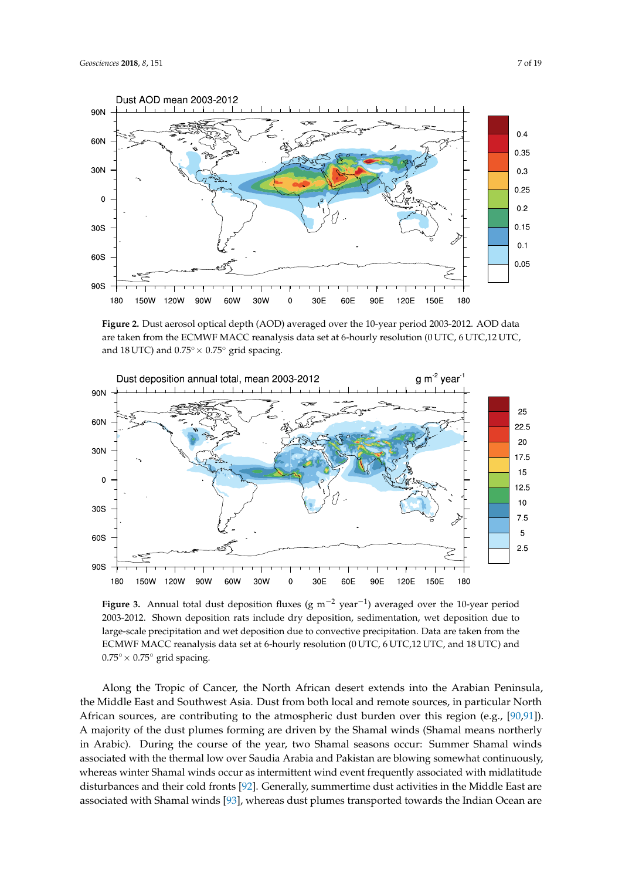<span id="page-6-0"></span>

**Figure 2.** Dust aerosol optical depth (AOD) averaged over the 10-year period 2003-2012. AOD data are taken from the ECMWF MACC reanalysis data set at 6-hourly resolution (0 UTC, 6 UTC,12 UTC, and 18 UTC) and  $0.75^{\circ} \times 0.75^{\circ}$  grid spacing.

<span id="page-6-1"></span>

**Figure 3.** Annual total dust deposition fluxes (g m−<sup>2</sup> year−<sup>1</sup> ) averaged over the 10-year period 2003-2012. Shown deposition rats include dry deposition, sedimentation, wet deposition due to large-scale precipitation and wet deposition due to convective precipitation. Data are taken from the ECMWF MACC reanalysis data set at 6-hourly resolution (0 UTC, 6 UTC,12 UTC, and 18 UTC) and  $0.75^{\circ} \times 0.75^{\circ}$  grid spacing.

Along the Tropic of Cancer, the North African desert extends into the Arabian Peninsula, the Middle East and Southwest Asia. Dust from both local and remote sources, in particular North African sources, are contributing to the atmospheric dust burden over this region (e.g., [\[90,](#page-16-2)[91\]](#page-16-3)). A majority of the dust plumes forming are driven by the Shamal winds (Shamal means northerly in Arabic). During the course of the year, two Shamal seasons occur: Summer Shamal winds associated with the thermal low over Saudia Arabia and Pakistan are blowing somewhat continuously, whereas winter Shamal winds occur as intermittent wind event frequently associated with midlatitude disturbances and their cold fronts [\[92\]](#page-16-4). Generally, summertime dust activities in the Middle East are associated with Shamal winds [\[93\]](#page-16-5), whereas dust plumes transported towards the Indian Ocean are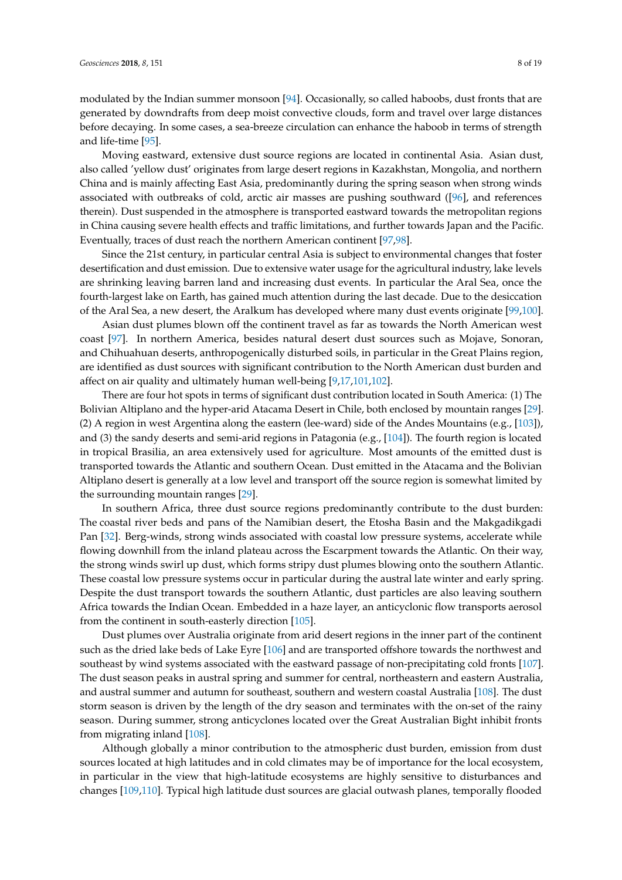modulated by the Indian summer monsoon [\[94\]](#page-16-6). Occasionally, so called haboobs, dust fronts that are generated by downdrafts from deep moist convective clouds, form and travel over large distances before decaying. In some cases, a sea-breeze circulation can enhance the haboob in terms of strength and life-time [\[95\]](#page-16-7).

Moving eastward, extensive dust source regions are located in continental Asia. Asian dust, also called 'yellow dust' originates from large desert regions in Kazakhstan, Mongolia, and northern China and is mainly affecting East Asia, predominantly during the spring season when strong winds associated with outbreaks of cold, arctic air masses are pushing southward ([\[96\]](#page-16-8), and references therein). Dust suspended in the atmosphere is transported eastward towards the metropolitan regions in China causing severe health effects and traffic limitations, and further towards Japan and the Pacific. Eventually, traces of dust reach the northern American continent [\[97](#page-16-9)[,98\]](#page-16-10).

Since the 21st century, in particular central Asia is subject to environmental changes that foster desertification and dust emission. Due to extensive water usage for the agricultural industry, lake levels are shrinking leaving barren land and increasing dust events. In particular the Aral Sea, once the fourth-largest lake on Earth, has gained much attention during the last decade. Due to the desiccation of the Aral Sea, a new desert, the Aralkum has developed where many dust events originate [\[99,](#page-16-11)[100\]](#page-16-12).

Asian dust plumes blown off the continent travel as far as towards the North American west coast [\[97\]](#page-16-9). In northern America, besides natural desert dust sources such as Mojave, Sonoran, and Chihuahuan deserts, anthropogenically disturbed soils, in particular in the Great Plains region, are identified as dust sources with significant contribution to the North American dust burden and affect on air quality and ultimately human well-being [\[9,](#page-12-6)[17,](#page-12-12)[101](#page-16-13)[,102\]](#page-16-14).

There are four hot spots in terms of significant dust contribution located in South America: (1) The Bolivian Altiplano and the hyper-arid Atacama Desert in Chile, both enclosed by mountain ranges [\[29\]](#page-13-16). (2) A region in west Argentina along the eastern (lee-ward) side of the Andes Mountains (e.g., [\[103\]](#page-16-15)), and (3) the sandy deserts and semi-arid regions in Patagonia (e.g., [\[104\]](#page-16-16)). The fourth region is located in tropical Brasilia, an area extensively used for agriculture. Most amounts of the emitted dust is transported towards the Atlantic and southern Ocean. Dust emitted in the Atacama and the Bolivian Altiplano desert is generally at a low level and transport off the source region is somewhat limited by the surrounding mountain ranges [\[29\]](#page-13-16).

In southern Africa, three dust source regions predominantly contribute to the dust burden: The coastal river beds and pans of the Namibian desert, the Etosha Basin and the Makgadikgadi Pan [\[32\]](#page-13-18). Berg-winds, strong winds associated with coastal low pressure systems, accelerate while flowing downhill from the inland plateau across the Escarpment towards the Atlantic. On their way, the strong winds swirl up dust, which forms stripy dust plumes blowing onto the southern Atlantic. These coastal low pressure systems occur in particular during the austral late winter and early spring. Despite the dust transport towards the southern Atlantic, dust particles are also leaving southern Africa towards the Indian Ocean. Embedded in a haze layer, an anticyclonic flow transports aerosol from the continent in south-easterly direction [\[105\]](#page-16-17).

Dust plumes over Australia originate from arid desert regions in the inner part of the continent such as the dried lake beds of Lake Eyre [\[106\]](#page-16-18) and are transported offshore towards the northwest and southeast by wind systems associated with the eastward passage of non-precipitating cold fronts [\[107\]](#page-16-19). The dust season peaks in austral spring and summer for central, northeastern and eastern Australia, and austral summer and autumn for southeast, southern and western coastal Australia [\[108\]](#page-16-20). The dust storm season is driven by the length of the dry season and terminates with the on-set of the rainy season. During summer, strong anticyclones located over the Great Australian Bight inhibit fronts from migrating inland [\[108\]](#page-16-20).

Although globally a minor contribution to the atmospheric dust burden, emission from dust sources located at high latitudes and in cold climates may be of importance for the local ecosystem, in particular in the view that high-latitude ecosystems are highly sensitive to disturbances and changes [\[109,](#page-16-21)[110\]](#page-16-22). Typical high latitude dust sources are glacial outwash planes, temporally flooded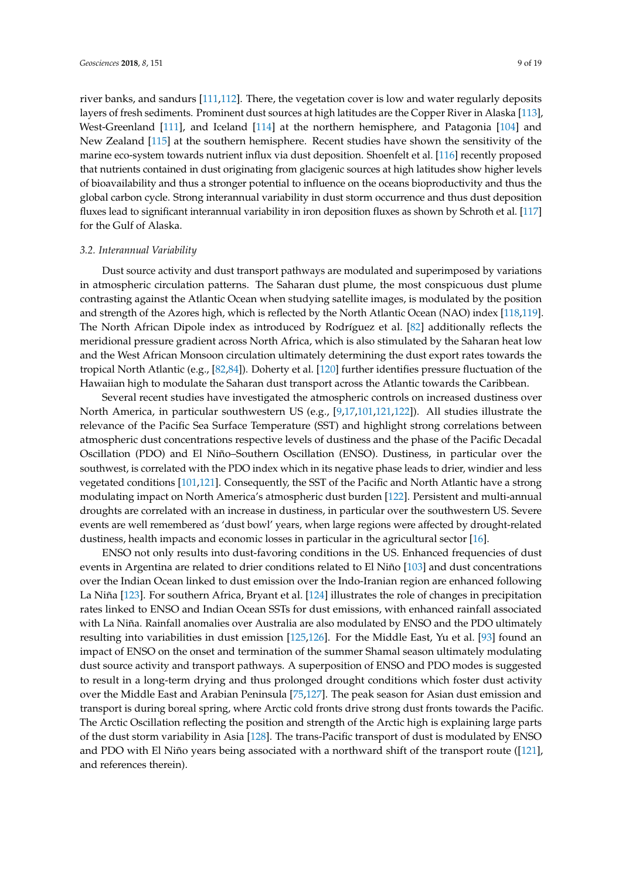river banks, and sandurs [\[111](#page-16-23)[,112\]](#page-17-0). There, the vegetation cover is low and water regularly deposits layers of fresh sediments. Prominent dust sources at high latitudes are the Copper River in Alaska [\[113\]](#page-17-1), West-Greenland [\[111\]](#page-16-23), and Iceland [\[114\]](#page-17-2) at the northern hemisphere, and Patagonia [\[104\]](#page-16-16) and New Zealand [\[115\]](#page-17-3) at the southern hemisphere. Recent studies have shown the sensitivity of the marine eco-system towards nutrient influx via dust deposition. Shoenfelt et al. [\[116\]](#page-17-4) recently proposed that nutrients contained in dust originating from glacigenic sources at high latitudes show higher levels of bioavailability and thus a stronger potential to influence on the oceans bioproductivity and thus the global carbon cycle. Strong interannual variability in dust storm occurrence and thus dust deposition fluxes lead to significant interannual variability in iron deposition fluxes as shown by Schroth et al. [\[117\]](#page-17-5) for the Gulf of Alaska.

#### *3.2. Interannual Variability*

Dust source activity and dust transport pathways are modulated and superimposed by variations in atmospheric circulation patterns. The Saharan dust plume, the most conspicuous dust plume contrasting against the Atlantic Ocean when studying satellite images, is modulated by the position and strength of the Azores high, which is reflected by the North Atlantic Ocean (NAO) index [\[118](#page-17-6)[,119\]](#page-17-7). The North African Dipole index as introduced by Rodríguez et al. [\[82\]](#page-15-12) additionally reflects the meridional pressure gradient across North Africa, which is also stimulated by the Saharan heat low and the West African Monsoon circulation ultimately determining the dust export rates towards the tropical North Atlantic (e.g., [\[82,](#page-15-12)[84\]](#page-15-13)). Doherty et al. [\[120\]](#page-17-8) further identifies pressure fluctuation of the Hawaiian high to modulate the Saharan dust transport across the Atlantic towards the Caribbean.

Several recent studies have investigated the atmospheric controls on increased dustiness over North America, in particular southwestern US (e.g., [\[9](#page-12-6)[,17](#page-12-12)[,101](#page-16-13)[,121](#page-17-9)[,122\]](#page-17-10)). All studies illustrate the relevance of the Pacific Sea Surface Temperature (SST) and highlight strong correlations between atmospheric dust concentrations respective levels of dustiness and the phase of the Pacific Decadal Oscillation (PDO) and El Niño–Southern Oscillation (ENSO). Dustiness, in particular over the southwest, is correlated with the PDO index which in its negative phase leads to drier, windier and less vegetated conditions [\[101,](#page-16-13)[121\]](#page-17-9). Consequently, the SST of the Pacific and North Atlantic have a strong modulating impact on North America's atmospheric dust burden [\[122\]](#page-17-10). Persistent and multi-annual droughts are correlated with an increase in dustiness, in particular over the southwestern US. Severe events are well remembered as 'dust bowl' years, when large regions were affected by drought-related dustiness, health impacts and economic losses in particular in the agricultural sector [\[16\]](#page-12-11).

ENSO not only results into dust-favoring conditions in the US. Enhanced frequencies of dust events in Argentina are related to drier conditions related to El Niño [\[103\]](#page-16-15) and dust concentrations over the Indian Ocean linked to dust emission over the Indo-Iranian region are enhanced following La Niña [\[123\]](#page-17-11). For southern Africa, Bryant et al. [\[124\]](#page-17-12) illustrates the role of changes in precipitation rates linked to ENSO and Indian Ocean SSTs for dust emissions, with enhanced rainfall associated with La Niña. Rainfall anomalies over Australia are also modulated by ENSO and the PDO ultimately resulting into variabilities in dust emission [\[125](#page-17-13)[,126\]](#page-17-14). For the Middle East, Yu et al. [\[93\]](#page-16-5) found an impact of ENSO on the onset and termination of the summer Shamal season ultimately modulating dust source activity and transport pathways. A superposition of ENSO and PDO modes is suggested to result in a long-term drying and thus prolonged drought conditions which foster dust activity over the Middle East and Arabian Peninsula [\[75,](#page-15-6)[127\]](#page-17-15). The peak season for Asian dust emission and transport is during boreal spring, where Arctic cold fronts drive strong dust fronts towards the Pacific. The Arctic Oscillation reflecting the position and strength of the Arctic high is explaining large parts of the dust storm variability in Asia [\[128\]](#page-17-16). The trans-Pacific transport of dust is modulated by ENSO and PDO with El Niño years being associated with a northward shift of the transport route ([\[121\]](#page-17-9), and references therein).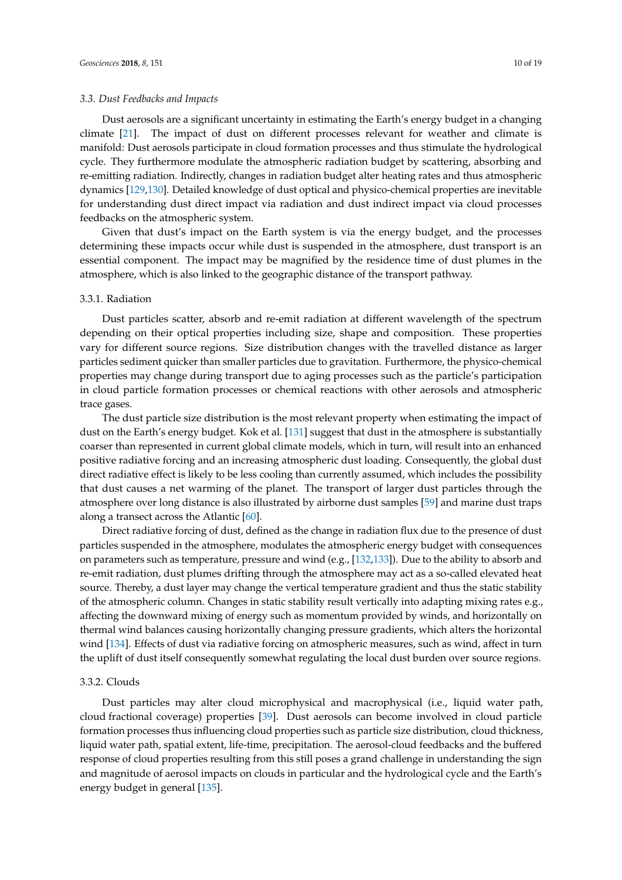#### *3.3. Dust Feedbacks and Impacts*

Dust aerosols are a significant uncertainty in estimating the Earth's energy budget in a changing climate [\[21\]](#page-12-16). The impact of dust on different processes relevant for weather and climate is manifold: Dust aerosols participate in cloud formation processes and thus stimulate the hydrological cycle. They furthermore modulate the atmospheric radiation budget by scattering, absorbing and re-emitting radiation. Indirectly, changes in radiation budget alter heating rates and thus atmospheric dynamics [\[129](#page-17-17)[,130\]](#page-17-18). Detailed knowledge of dust optical and physico-chemical properties are inevitable for understanding dust direct impact via radiation and dust indirect impact via cloud processes feedbacks on the atmospheric system.

Given that dust's impact on the Earth system is via the energy budget, and the processes determining these impacts occur while dust is suspended in the atmosphere, dust transport is an essential component. The impact may be magnified by the residence time of dust plumes in the atmosphere, which is also linked to the geographic distance of the transport pathway.

## 3.3.1. Radiation

Dust particles scatter, absorb and re-emit radiation at different wavelength of the spectrum depending on their optical properties including size, shape and composition. These properties vary for different source regions. Size distribution changes with the travelled distance as larger particles sediment quicker than smaller particles due to gravitation. Furthermore, the physico-chemical properties may change during transport due to aging processes such as the particle's participation in cloud particle formation processes or chemical reactions with other aerosols and atmospheric trace gases.

The dust particle size distribution is the most relevant property when estimating the impact of dust on the Earth's energy budget. Kok et al. [\[131\]](#page-17-19) suggest that dust in the atmosphere is substantially coarser than represented in current global climate models, which in turn, will result into an enhanced positive radiative forcing and an increasing atmospheric dust loading. Consequently, the global dust direct radiative effect is likely to be less cooling than currently assumed, which includes the possibility that dust causes a net warming of the planet. The transport of larger dust particles through the atmosphere over long distance is also illustrated by airborne dust samples [\[59\]](#page-14-19) and marine dust traps along a transect across the Atlantic [\[60\]](#page-14-11).

Direct radiative forcing of dust, defined as the change in radiation flux due to the presence of dust particles suspended in the atmosphere, modulates the atmospheric energy budget with consequences on parameters such as temperature, pressure and wind (e.g., [\[132](#page-17-20)[,133\]](#page-17-21)). Due to the ability to absorb and re-emit radiation, dust plumes drifting through the atmosphere may act as a so-called elevated heat source. Thereby, a dust layer may change the vertical temperature gradient and thus the static stability of the atmospheric column. Changes in static stability result vertically into adapting mixing rates e.g., affecting the downward mixing of energy such as momentum provided by winds, and horizontally on thermal wind balances causing horizontally changing pressure gradients, which alters the horizontal wind [\[134\]](#page-17-22). Effects of dust via radiative forcing on atmospheric measures, such as wind, affect in turn the uplift of dust itself consequently somewhat regulating the local dust burden over source regions.

#### 3.3.2. Clouds

Dust particles may alter cloud microphysical and macrophysical (i.e., liquid water path, cloud fractional coverage) properties [\[39\]](#page-13-9). Dust aerosols can become involved in cloud particle formation processes thus influencing cloud properties such as particle size distribution, cloud thickness, liquid water path, spatial extent, life-time, precipitation. The aerosol-cloud feedbacks and the buffered response of cloud properties resulting from this still poses a grand challenge in understanding the sign and magnitude of aerosol impacts on clouds in particular and the hydrological cycle and the Earth's energy budget in general [\[135\]](#page-18-0).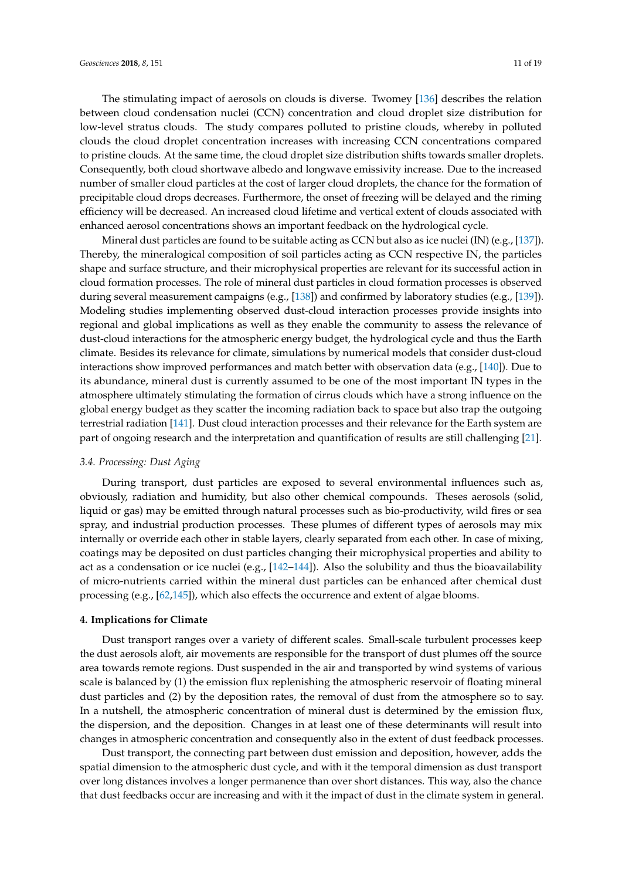The stimulating impact of aerosols on clouds is diverse. Twomey [\[136\]](#page-18-1) describes the relation between cloud condensation nuclei (CCN) concentration and cloud droplet size distribution for low-level stratus clouds. The study compares polluted to pristine clouds, whereby in polluted clouds the cloud droplet concentration increases with increasing CCN concentrations compared to pristine clouds. At the same time, the cloud droplet size distribution shifts towards smaller droplets. Consequently, both cloud shortwave albedo and longwave emissivity increase. Due to the increased number of smaller cloud particles at the cost of larger cloud droplets, the chance for the formation of precipitable cloud drops decreases. Furthermore, the onset of freezing will be delayed and the riming efficiency will be decreased. An increased cloud lifetime and vertical extent of clouds associated with enhanced aerosol concentrations shows an important feedback on the hydrological cycle.

Mineral dust particles are found to be suitable acting as CCN but also as ice nuclei (IN) (e.g., [\[137\]](#page-18-2)). Thereby, the mineralogical composition of soil particles acting as CCN respective IN, the particles shape and surface structure, and their microphysical properties are relevant for its successful action in cloud formation processes. The role of mineral dust particles in cloud formation processes is observed during several measurement campaigns (e.g., [\[138\]](#page-18-3)) and confirmed by laboratory studies (e.g., [\[139\]](#page-18-4)). Modeling studies implementing observed dust-cloud interaction processes provide insights into regional and global implications as well as they enable the community to assess the relevance of dust-cloud interactions for the atmospheric energy budget, the hydrological cycle and thus the Earth climate. Besides its relevance for climate, simulations by numerical models that consider dust-cloud interactions show improved performances and match better with observation data (e.g., [\[140\]](#page-18-5)). Due to its abundance, mineral dust is currently assumed to be one of the most important IN types in the atmosphere ultimately stimulating the formation of cirrus clouds which have a strong influence on the global energy budget as they scatter the incoming radiation back to space but also trap the outgoing terrestrial radiation [\[141\]](#page-18-6). Dust cloud interaction processes and their relevance for the Earth system are part of ongoing research and the interpretation and quantification of results are still challenging [\[21\]](#page-12-16).

## *3.4. Processing: Dust Aging*

During transport, dust particles are exposed to several environmental influences such as, obviously, radiation and humidity, but also other chemical compounds. Theses aerosols (solid, liquid or gas) may be emitted through natural processes such as bio-productivity, wild fires or sea spray, and industrial production processes. These plumes of different types of aerosols may mix internally or override each other in stable layers, clearly separated from each other. In case of mixing, coatings may be deposited on dust particles changing their microphysical properties and ability to act as a condensation or ice nuclei (e.g.,  $[142-144]$  $[142-144]$ ). Also the solubility and thus the bioavailability of micro-nutrients carried within the mineral dust particles can be enhanced after chemical dust processing (e.g., [\[62,](#page-14-13)[145\]](#page-18-9)), which also effects the occurrence and extent of algae blooms.

#### **4. Implications for Climate**

Dust transport ranges over a variety of different scales. Small-scale turbulent processes keep the dust aerosols aloft, air movements are responsible for the transport of dust plumes off the source area towards remote regions. Dust suspended in the air and transported by wind systems of various scale is balanced by (1) the emission flux replenishing the atmospheric reservoir of floating mineral dust particles and (2) by the deposition rates, the removal of dust from the atmosphere so to say. In a nutshell, the atmospheric concentration of mineral dust is determined by the emission flux, the dispersion, and the deposition. Changes in at least one of these determinants will result into changes in atmospheric concentration and consequently also in the extent of dust feedback processes.

Dust transport, the connecting part between dust emission and deposition, however, adds the spatial dimension to the atmospheric dust cycle, and with it the temporal dimension as dust transport over long distances involves a longer permanence than over short distances. This way, also the chance that dust feedbacks occur are increasing and with it the impact of dust in the climate system in general.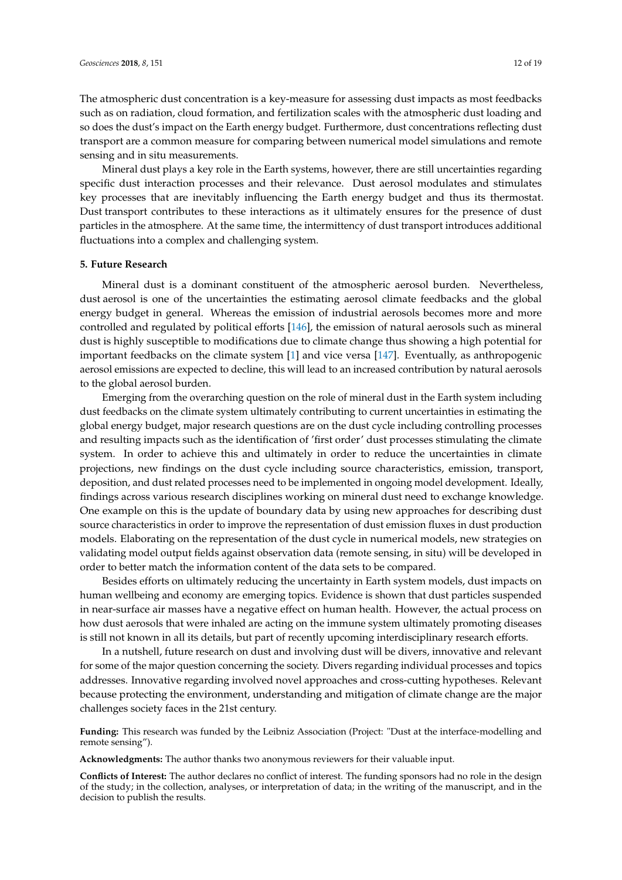The atmospheric dust concentration is a key-measure for assessing dust impacts as most feedbacks such as on radiation, cloud formation, and fertilization scales with the atmospheric dust loading and so does the dust's impact on the Earth energy budget. Furthermore, dust concentrations reflecting dust transport are a common measure for comparing between numerical model simulations and remote sensing and in situ measurements.

Mineral dust plays a key role in the Earth systems, however, there are still uncertainties regarding specific dust interaction processes and their relevance. Dust aerosol modulates and stimulates key processes that are inevitably influencing the Earth energy budget and thus its thermostat. Dust transport contributes to these interactions as it ultimately ensures for the presence of dust particles in the atmosphere. At the same time, the intermittency of dust transport introduces additional fluctuations into a complex and challenging system.

### **5. Future Research**

Mineral dust is a dominant constituent of the atmospheric aerosol burden. Nevertheless, dust aerosol is one of the uncertainties the estimating aerosol climate feedbacks and the global energy budget in general. Whereas the emission of industrial aerosols becomes more and more controlled and regulated by political efforts [\[146\]](#page-18-10), the emission of natural aerosols such as mineral dust is highly susceptible to modifications due to climate change thus showing a high potential for important feedbacks on the climate system [\[1\]](#page-12-0) and vice versa [\[147\]](#page-18-11). Eventually, as anthropogenic aerosol emissions are expected to decline, this will lead to an increased contribution by natural aerosols to the global aerosol burden.

Emerging from the overarching question on the role of mineral dust in the Earth system including dust feedbacks on the climate system ultimately contributing to current uncertainties in estimating the global energy budget, major research questions are on the dust cycle including controlling processes and resulting impacts such as the identification of 'first order' dust processes stimulating the climate system. In order to achieve this and ultimately in order to reduce the uncertainties in climate projections, new findings on the dust cycle including source characteristics, emission, transport, deposition, and dust related processes need to be implemented in ongoing model development. Ideally, findings across various research disciplines working on mineral dust need to exchange knowledge. One example on this is the update of boundary data by using new approaches for describing dust source characteristics in order to improve the representation of dust emission fluxes in dust production models. Elaborating on the representation of the dust cycle in numerical models, new strategies on validating model output fields against observation data (remote sensing, in situ) will be developed in order to better match the information content of the data sets to be compared.

Besides efforts on ultimately reducing the uncertainty in Earth system models, dust impacts on human wellbeing and economy are emerging topics. Evidence is shown that dust particles suspended in near-surface air masses have a negative effect on human health. However, the actual process on how dust aerosols that were inhaled are acting on the immune system ultimately promoting diseases is still not known in all its details, but part of recently upcoming interdisciplinary research efforts.

In a nutshell, future research on dust and involving dust will be divers, innovative and relevant for some of the major question concerning the society. Divers regarding individual processes and topics addresses. Innovative regarding involved novel approaches and cross-cutting hypotheses. Relevant because protecting the environment, understanding and mitigation of climate change are the major challenges society faces in the 21st century.

**Funding:** This research was funded by the Leibniz Association (Project: "Dust at the interface-modelling and remote sensing").

**Acknowledgments:** The author thanks two anonymous reviewers for their valuable input.

**Conflicts of Interest:** The author declares no conflict of interest. The funding sponsors had no role in the design of the study; in the collection, analyses, or interpretation of data; in the writing of the manuscript, and in the decision to publish the results.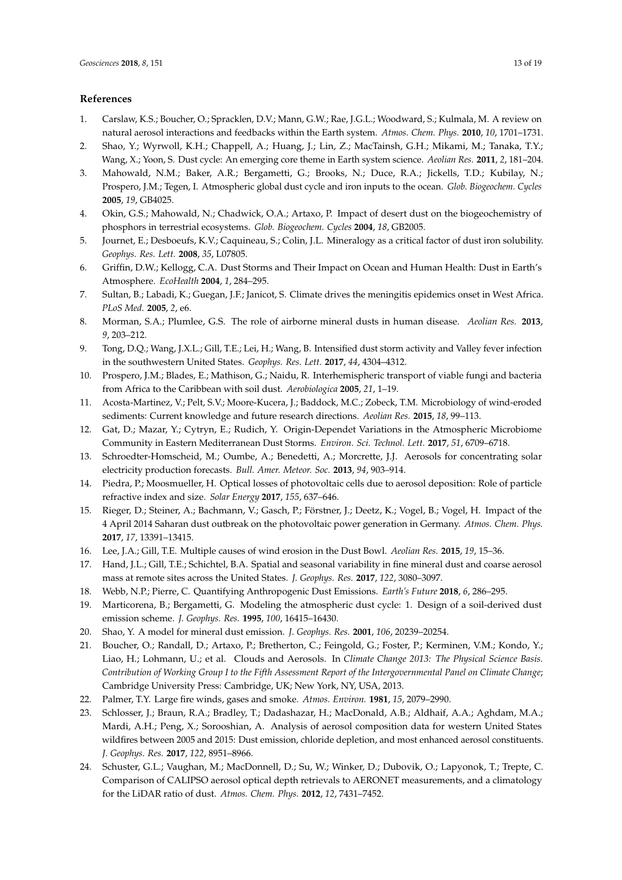## **References**

- <span id="page-12-0"></span>1. Carslaw, K.S.; Boucher, O.; Spracklen, D.V.; Mann, G.W.; Rae, J.G.L.; Woodward, S.; Kulmala, M. A review on natural aerosol interactions and feedbacks within the Earth system. *Atmos. Chem. Phys.* **2010**, *10*, 1701–1731.
- <span id="page-12-1"></span>2. Shao, Y.; Wyrwoll, K.H.; Chappell, A.; Huang, J.; Lin, Z.; MacTainsh, G.H.; Mikami, M.; Tanaka, T.Y.; Wang, X.; Yoon, S. Dust cycle: An emerging core theme in Earth system science. *Aeolian Res.* **2011**, *2*, 181–204.
- <span id="page-12-2"></span>3. Mahowald, N.M.; Baker, A.R.; Bergametti, G.; Brooks, N.; Duce, R.A.; Jickells, T.D.; Kubilay, N.; Prospero, J.M.; Tegen, I. Atmospheric global dust cycle and iron inputs to the ocean. *Glob. Biogeochem. Cycles* **2005**, *19*, GB4025.
- <span id="page-12-3"></span>4. Okin, G.S.; Mahowald, N.; Chadwick, O.A.; Artaxo, P. Impact of desert dust on the biogeochemistry of phosphors in terrestrial ecosystems. *Glob. Biogeochem. Cycles* **2004**, *18*, GB2005.
- <span id="page-12-4"></span>5. Journet, E.; Desboeufs, K.V.; Caquineau, S.; Colin, J.L. Mineralogy as a critical factor of dust iron solubility. *Geophys. Res. Lett.* **2008**, *35*, L07805.
- <span id="page-12-5"></span>6. Griffin, D.W.; Kellogg, C.A. Dust Storms and Their Impact on Ocean and Human Health: Dust in Earth's Atmosphere. *EcoHealth* **2004**, *1*, 284–295.
- 7. Sultan, B.; Labadi, K.; Guegan, J.F.; Janicot, S. Climate drives the meningitis epidemics onset in West Africa. *PLoS Med.* **2005**, *2*, e6.
- 8. Morman, S.A.; Plumlee, G.S. The role of airborne mineral dusts in human disease. *Aeolian Res.* **2013**, *9*, 203–212.
- <span id="page-12-6"></span>9. Tong, D.Q.; Wang, J.X.L.; Gill, T.E.; Lei, H.; Wang, B. Intensified dust storm activity and Valley fever infection in the southwestern United States. *Geophys. Res. Lett.* **2017**, *44*, 4304–4312.
- <span id="page-12-7"></span>10. Prospero, J.M.; Blades, E.; Mathison, G.; Naidu, R. Interhemispheric transport of viable fungi and bacteria from Africa to the Caribbean with soil dust. *Aerobiologica* **2005**, *21*, 1–19.
- <span id="page-12-20"></span>11. Acosta-Martinez, V.; Pelt, S.V.; Moore-Kucera, J.; Baddock, M.C.; Zobeck, T.M. Microbiology of wind-eroded sediments: Current knowledge and future research directions. *Aeolian Res.* **2015**, *18*, 99–113.
- <span id="page-12-8"></span>12. Gat, D.; Mazar, Y.; Cytryn, E.; Rudich, Y. Origin-Dependet Variations in the Atmospheric Microbiome Community in Eastern Mediterranean Dust Storms. *Environ. Sci. Technol. Lett.* **2017**, *51*, 6709–6718.
- <span id="page-12-9"></span>13. Schroedter-Homscheid, M.; Oumbe, A.; Benedetti, A.; Morcrette, J.J. Aerosols for concentrating solar electricity production forecasts. *Bull. Amer. Meteor. Soc.* **2013**, *94*, 903–914.
- 14. Piedra, P.; Moosmueller, H. Optical losses of photovoltaic cells due to aerosol deposition: Role of particle refractive index and size. *Solar Energy* **2017**, *155*, 637–646.
- <span id="page-12-10"></span>15. Rieger, D.; Steiner, A.; Bachmann, V.; Gasch, P.; Förstner, J.; Deetz, K.; Vogel, B.; Vogel, H. Impact of the 4 April 2014 Saharan dust outbreak on the photovoltaic power generation in Germany. *Atmos. Chem. Phys.* **2017**, *17*, 13391–13415.
- <span id="page-12-11"></span>16. Lee, J.A.; Gill, T.E. Multiple causes of wind erosion in the Dust Bowl. *Aeolian Res.* **2015**, *19*, 15–36.
- <span id="page-12-12"></span>17. Hand, J.L.; Gill, T.E.; Schichtel, B.A. Spatial and seasonal variability in fine mineral dust and coarse aerosol mass at remote sites across the United States. *J. Geophys. Res.* **2017**, *122*, 3080–3097.
- <span id="page-12-13"></span>18. Webb, N.P.; Pierre, C. Quantifying Anthropogenic Dust Emissions. *Earth's Future* **2018**, *6*, 286–295.
- <span id="page-12-14"></span>19. Marticorena, B.; Bergametti, G. Modeling the atmospheric dust cycle: 1. Design of a soil-derived dust emission scheme. *J. Geophys. Res.* **1995**, *100*, 16415–16430.
- <span id="page-12-15"></span>20. Shao, Y. A model for mineral dust emission. *J. Geophys. Res.* **2001**, *106*, 20239–20254.
- <span id="page-12-16"></span>21. Boucher, O.; Randall, D.; Artaxo, P.; Bretherton, C.; Feingold, G.; Foster, P.; Kerminen, V.M.; Kondo, Y.; Liao, H.; Lohmann, U.; et al. Clouds and Aerosols. In *Climate Change 2013: The Physical Science Basis. Contribution of Working Group I to the Fifth Assessment Report of the Intergovernmental Panel on Climate Change*; Cambridge University Press: Cambridge, UK; New York, NY, USA, 2013.
- <span id="page-12-17"></span>22. Palmer, T.Y. Large fire winds, gases and smoke. *Atmos. Environ.* **1981**, *15*, 2079–2990.
- <span id="page-12-18"></span>23. Schlosser, J.; Braun, R.A.; Bradley, T.; Dadashazar, H.; MacDonald, A.B.; Aldhaif, A.A.; Aghdam, M.A.; Mardi, A.H.; Peng, X.; Sorooshian, A. Analysis of aerosol composition data for western United States wildfires between 2005 and 2015: Dust emission, chloride depletion, and most enhanced aerosol constituents. *J. Geophys. Res.* **2017**, *122*, 8951–8966.
- <span id="page-12-19"></span>24. Schuster, G.L.; Vaughan, M.; MacDonnell, D.; Su, W.; Winker, D.; Dubovik, O.; Lapyonok, T.; Trepte, C. Comparison of CALIPSO aerosol optical depth retrievals to AERONET measurements, and a climatology for the LiDAR ratio of dust. *Atmos. Chem. Phys.* **2012**, *12*, 7431–7452.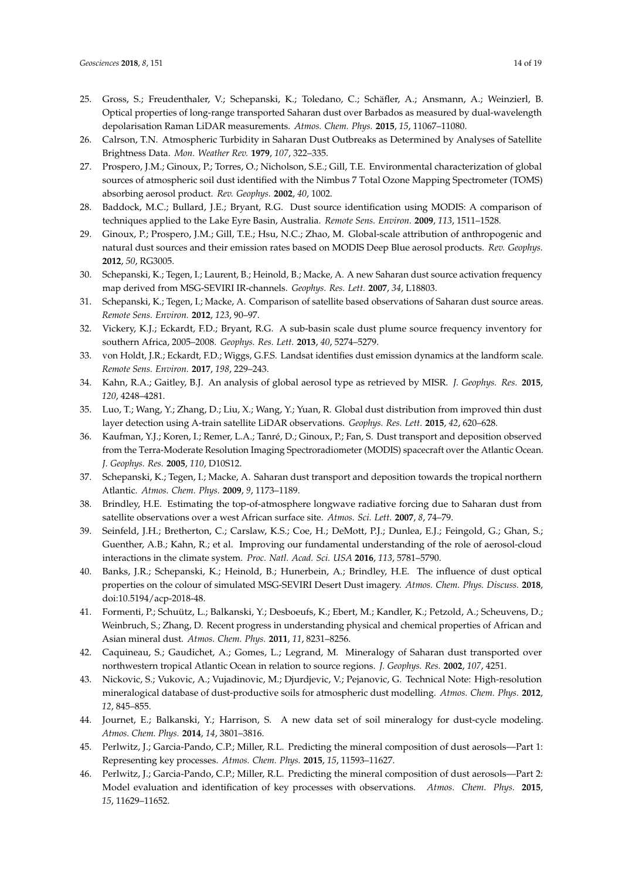- <span id="page-13-0"></span>25. Gross, S.; Freudenthaler, V.; Schepanski, K.; Toledano, C.; Schäfler, A.; Ansmann, A.; Weinzierl, B. Optical properties of long-range transported Saharan dust over Barbados as measured by dual-wavelength depolarisation Raman LiDAR measurements. *Atmos. Chem. Phys.* **2015**, *15*, 11067–11080.
- <span id="page-13-1"></span>26. Calrson, T.N. Atmospheric Turbidity in Saharan Dust Outbreaks as Determined by Analyses of Satellite Brightness Data. *Mon. Weather Rev.* **1979**, *107*, 322–335.
- <span id="page-13-2"></span>27. Prospero, J.M.; Ginoux, P.; Torres, O.; Nicholson, S.E.; Gill, T.E. Environmental characterization of global sources of atmospheric soil dust identified with the Nimbus 7 Total Ozone Mapping Spectrometer (TOMS) absorbing aerosol product. *Rev. Geophys.* **2002**, *40*, 1002.
- 28. Baddock, M.C.; Bullard, J.E.; Bryant, R.G. Dust source identification using MODIS: A comparison of techniques applied to the Lake Eyre Basin, Australia. *Remote Sens. Environ.* **2009**, *113*, 1511–1528.
- <span id="page-13-16"></span>29. Ginoux, P.; Prospero, J.M.; Gill, T.E.; Hsu, N.C.; Zhao, M. Global-scale attribution of anthropogenic and natural dust sources and their emission rates based on MODIS Deep Blue aerosol products. *Rev. Geophys.* **2012**, *50*, RG3005.
- 30. Schepanski, K.; Tegen, I.; Laurent, B.; Heinold, B.; Macke, A. A new Saharan dust source activation frequency map derived from MSG-SEVIRI IR-channels. *Geophys. Res. Lett.* **2007**, *34*, L18803.
- <span id="page-13-17"></span>31. Schepanski, K.; Tegen, I.; Macke, A. Comparison of satellite based observations of Saharan dust source areas. *Remote Sens. Environ.* **2012**, *123*, 90–97.
- <span id="page-13-18"></span>32. Vickery, K.J.; Eckardt, F.D.; Bryant, R.G. A sub-basin scale dust plume source frequency inventory for southern Africa, 2005–2008. *Geophys. Res. Lett.* **2013**, *40*, 5274–5279.
- <span id="page-13-3"></span>33. von Holdt, J.R.; Eckardt, F.D.; Wiggs, G.F.S. Landsat identifies dust emission dynamics at the landform scale. *Remote Sens. Environ.* **2017**, *198*, 229–243.
- <span id="page-13-4"></span>34. Kahn, R.A.; Gaitley, B.J. An analysis of global aerosol type as retrieved by MISR. *J. Geophys. Res.* **2015**, *120*, 4248–4281.
- <span id="page-13-5"></span>35. Luo, T.; Wang, Y.; Zhang, D.; Liu, X.; Wang, Y.; Yuan, R. Global dust distribution from improved thin dust layer detection using A-train satellite LiDAR observations. *Geophys. Res. Lett.* **2015**, *42*, 620–628.
- <span id="page-13-6"></span>36. Kaufman, Y.J.; Koren, I.; Remer, L.A.; Tanré, D.; Ginoux, P.; Fan, S. Dust transport and deposition observed from the Terra-Moderate Resolution Imaging Spectroradiometer (MODIS) spacecraft over the Atlantic Ocean. *J. Geophys. Res.* **2005**, *110*, D10S12.
- <span id="page-13-7"></span>37. Schepanski, K.; Tegen, I.; Macke, A. Saharan dust transport and deposition towards the tropical northern Atlantic. *Atmos. Chem. Phys.* **2009**, *9*, 1173–1189.
- <span id="page-13-8"></span>38. Brindley, H.E. Estimating the top-of-atmosphere longwave radiative forcing due to Saharan dust from satellite observations over a west African surface site. *Atmos. Sci. Lett.* **2007**, *8*, 74–79.
- <span id="page-13-9"></span>39. Seinfeld, J.H.; Bretherton, C.; Carslaw, K.S.; Coe, H.; DeMott, P.J.; Dunlea, E.J.; Feingold, G.; Ghan, S.; Guenther, A.B.; Kahn, R.; et al. Improving our fundamental understanding of the role of aerosol-cloud interactions in the climate system. *Proc. Natl. Acad. Sci. USA* **2016**, *113*, 5781–5790.
- <span id="page-13-10"></span>Banks, J.R.; Schepanski, K.; Heinold, B.; Hunerbein, A.; Brindley, H.E. The influence of dust optical properties on the colour of simulated MSG-SEVIRI Desert Dust imagery. *Atmos. Chem. Phys. Discuss.* **2018**, doi:10.5194/acp-2018-48.
- <span id="page-13-11"></span>41. Formenti, P.; Schuütz, L.; Balkanski, Y.; Desboeufs, K.; Ebert, M.; Kandler, K.; Petzold, A.; Scheuvens, D.; Weinbruch, S.; Zhang, D. Recent progress in understanding physical and chemical properties of African and Asian mineral dust. *Atmos. Chem. Phys.* **2011**, *11*, 8231–8256.
- <span id="page-13-12"></span>42. Caquineau, S.; Gaudichet, A.; Gomes, L.; Legrand, M. Mineralogy of Saharan dust transported over northwestern tropical Atlantic Ocean in relation to source regions. *J. Geophys. Res.* **2002**, *107*, 4251.
- <span id="page-13-13"></span>43. Nickovic, S.; Vukovic, A.; Vujadinovic, M.; Djurdjevic, V.; Pejanovic, G. Technical Note: High-resolution mineralogical database of dust-productive soils for atmospheric dust modelling. *Atmos. Chem. Phys.* **2012**, *12*, 845–855.
- <span id="page-13-14"></span>44. Journet, E.; Balkanski, Y.; Harrison, S. A new data set of soil mineralogy for dust-cycle modeling. *Atmos. Chem. Phys.* **2014**, *14*, 3801–3816.
- <span id="page-13-15"></span>45. Perlwitz, J.; Garcia-Pando, C.P.; Miller, R.L. Predicting the mineral composition of dust aerosols—Part 1: Representing key processes. *Atmos. Chem. Phys.* **2015**, *15*, 11593–11627.
- 46. Perlwitz, J.; Garcia-Pando, C.P.; Miller, R.L. Predicting the mineral composition of dust aerosols—Part 2: Model evaluation and identification of key processes with observations. *Atmos. Chem. Phys.* **2015**, *15*, 11629–11652.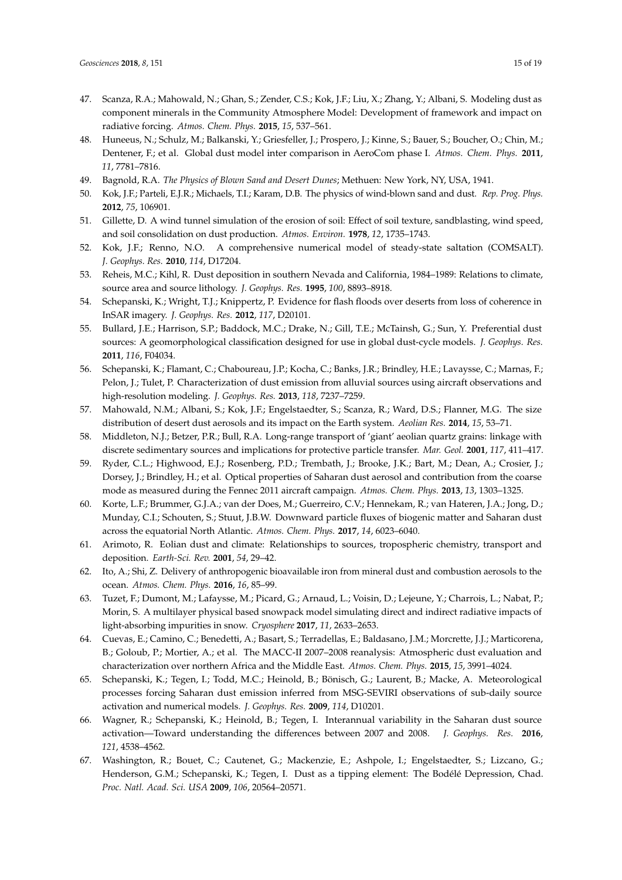- <span id="page-14-0"></span>47. Scanza, R.A.; Mahowald, N.; Ghan, S.; Zender, C.S.; Kok, J.F.; Liu, X.; Zhang, Y.; Albani, S. Modeling dust as component minerals in the Community Atmosphere Model: Development of framework and impact on radiative forcing. *Atmos. Chem. Phys.* **2015**, *15*, 537–561.
- <span id="page-14-1"></span>48. Huneeus, N.; Schulz, M.; Balkanski, Y.; Griesfeller, J.; Prospero, J.; Kinne, S.; Bauer, S.; Boucher, O.; Chin, M.; Dentener, F.; et al. Global dust model inter comparison in AeroCom phase I. *Atmos. Chem. Phys.* **2011**, *11*, 7781–7816.
- <span id="page-14-2"></span>49. Bagnold, R.A. *The Physics of Blown Sand and Desert Dunes*; Methuen: New York, NY, USA, 1941.
- <span id="page-14-3"></span>50. Kok, J.F.; Parteli, E.J.R.; Michaels, T.I.; Karam, D.B. The physics of wind-blown sand and dust. *Rep. Prog. Phys.* **2012**, *75*, 106901.
- <span id="page-14-4"></span>51. Gillette, D. A wind tunnel simulation of the erosion of soil: Effect of soil texture, sandblasting, wind speed, and soil consolidation on dust production. *Atmos. Environ.* **1978**, *12*, 1735–1743.
- <span id="page-14-5"></span>52. Kok, J.F.; Renno, N.O. A comprehensive numerical model of steady-state saltation (COMSALT). *J. Geophys. Res.* **2010**, *114*, D17204.
- <span id="page-14-6"></span>53. Reheis, M.C.; Kihl, R. Dust deposition in southern Nevada and California, 1984–1989: Relations to climate, source area and source lithology. *J. Geophys. Res.* **1995**, *100*, 8893–8918.
- 54. Schepanski, K.; Wright, T.J.; Knippertz, P. Evidence for flash floods over deserts from loss of coherence in InSAR imagery. *J. Geophys. Res.* **2012**, *117*, D20101.
- <span id="page-14-7"></span>55. Bullard, J.E.; Harrison, S.P.; Baddock, M.C.; Drake, N.; Gill, T.E.; McTainsh, G.; Sun, Y. Preferential dust sources: A geomorphological classification designed for use in global dust-cycle models. *J. Geophys. Res.* **2011**, *116*, F04034.
- <span id="page-14-8"></span>56. Schepanski, K.; Flamant, C.; Chaboureau, J.P.; Kocha, C.; Banks, J.R.; Brindley, H.E.; Lavaysse, C.; Marnas, F.; Pelon, J.; Tulet, P. Characterization of dust emission from alluvial sources using aircraft observations and high-resolution modeling. *J. Geophys. Res.* **2013**, *118*, 7237–7259.
- <span id="page-14-9"></span>57. Mahowald, N.M.; Albani, S.; Kok, J.F.; Engelstaedter, S.; Scanza, R.; Ward, D.S.; Flanner, M.G. The size distribution of desert dust aerosols and its impact on the Earth system. *Aeolian Res.* **2014**, *15*, 53–71.
- <span id="page-14-10"></span>58. Middleton, N.J.; Betzer, P.R.; Bull, R.A. Long-range transport of 'giant' aeolian quartz grains: linkage with discrete sedimentary sources and implications for protective particle transfer. *Mar. Geol.* **2001**, *117*, 411–417.
- <span id="page-14-19"></span>59. Ryder, C.L.; Highwood, E.J.; Rosenberg, P.D.; Trembath, J.; Brooke, J.K.; Bart, M.; Dean, A.; Crosier, J.; Dorsey, J.; Brindley, H.; et al. Optical properties of Saharan dust aerosol and contribution from the coarse mode as measured during the Fennec 2011 aircraft campaign. *Atmos. Chem. Phys.* **2013**, *13*, 1303–1325.
- <span id="page-14-11"></span>60. Korte, L.F.; Brummer, G.J.A.; van der Does, M.; Guerreiro, C.V.; Hennekam, R.; van Hateren, J.A.; Jong, D.; Munday, C.I.; Schouten, S.; Stuut, J.B.W. Downward particle fluxes of biogenic matter and Saharan dust across the equatorial North Atlantic. *Atmos. Chem. Phys.* **2017**, *14*, 6023–6040.
- <span id="page-14-12"></span>61. Arimoto, R. Eolian dust and climate: Relationships to sources, tropospheric chemistry, transport and deposition. *Earth-Sci. Rev.* **2001**, *54*, 29–42.
- <span id="page-14-13"></span>62. Ito, A.; Shi, Z. Delivery of anthropogenic bioavailable iron from mineral dust and combustion aerosols to the ocean. *Atmos. Chem. Phys.* **2016**, *16*, 85–99.
- <span id="page-14-14"></span>63. Tuzet, F.; Dumont, M.; Lafaysse, M.; Picard, G.; Arnaud, L.; Voisin, D.; Lejeune, Y.; Charrois, L.; Nabat, P.; Morin, S. A multilayer physical based snowpack model simulating direct and indirect radiative impacts of light-absorbing impurities in snow. *Cryosphere* **2017**, *11*, 2633–2653.
- <span id="page-14-15"></span>64. Cuevas, E.; Camino, C.; Benedetti, A.; Basart, S.; Terradellas, E.; Baldasano, J.M.; Morcrette, J.J.; Marticorena, B.; Goloub, P.; Mortier, A.; et al. The MACC-II 2007–2008 reanalysis: Atmospheric dust evaluation and characterization over northern Africa and the Middle East. *Atmos. Chem. Phys.* **2015**, *15*, 3991–4024.
- <span id="page-14-16"></span>65. Schepanski, K.; Tegen, I.; Todd, M.C.; Heinold, B.; Bönisch, G.; Laurent, B.; Macke, A. Meteorological processes forcing Saharan dust emission inferred from MSG-SEVIRI observations of sub-daily source activation and numerical models. *J. Geophys. Res.* **2009**, *114*, D10201.
- <span id="page-14-17"></span>66. Wagner, R.; Schepanski, K.; Heinold, B.; Tegen, I. Interannual variability in the Saharan dust source activation—Toward understanding the differences between 2007 and 2008. *J. Geophys. Res.* **2016**, *121*, 4538–4562.
- <span id="page-14-18"></span>67. Washington, R.; Bouet, C.; Cautenet, G.; Mackenzie, E.; Ashpole, I.; Engelstaedter, S.; Lizcano, G.; Henderson, G.M.; Schepanski, K.; Tegen, I. Dust as a tipping element: The Bodélé Depression, Chad. *Proc. Natl. Acad. Sci. USA* **2009**, *106*, 20564–20571.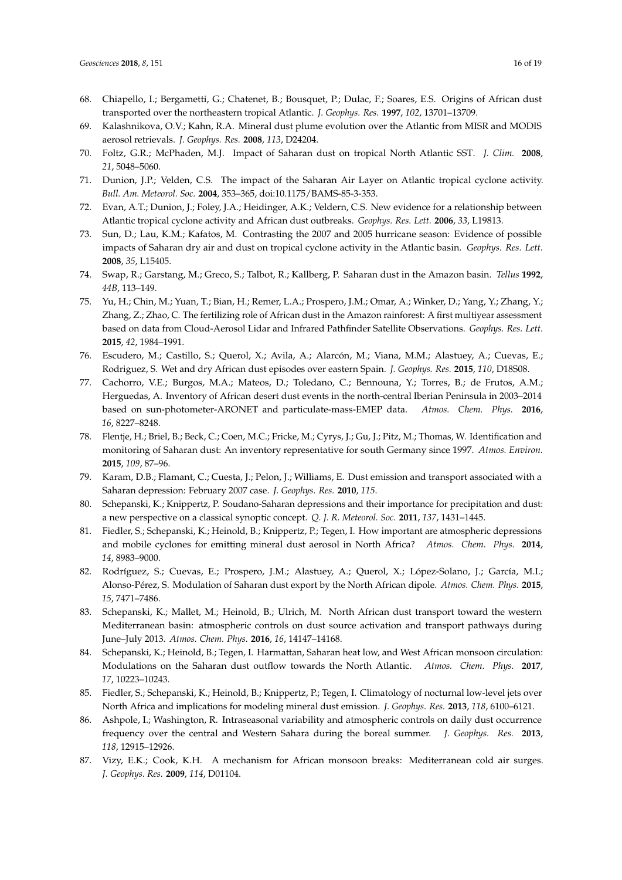- <span id="page-15-0"></span>68. Chiapello, I.; Bergametti, G.; Chatenet, B.; Bousquet, P.; Dulac, F.; Soares, E.S. Origins of African dust transported over the northeastern tropical Atlantic. *J. Geophys. Res.* **1997**, *102*, 13701–13709.
- <span id="page-15-1"></span>69. Kalashnikova, O.V.; Kahn, R.A. Mineral dust plume evolution over the Atlantic from MISR and MODIS aerosol retrievals. *J. Geophys. Res.* **2008**, *113*, D24204.
- <span id="page-15-2"></span>70. Foltz, G.R.; McPhaden, M.J. Impact of Saharan dust on tropical North Atlantic SST. *J. Clim.* **2008**, *21*, 5048–5060.
- <span id="page-15-3"></span>71. Dunion, J.P.; Velden, C.S. The impact of the Saharan Air Layer on Atlantic tropical cyclone activity. *Bull. Am. Meteorol. Soc.* **2004**, 353–365, doi:10.1175/BAMS-85-3-353.
- 72. Evan, A.T.; Dunion, J.; Foley, J.A.; Heidinger, A.K.; Veldern, C.S. New evidence for a relationship between Atlantic tropical cyclone activity and African dust outbreaks. *Geophys. Res. Lett.* **2006**, *33*, L19813.
- <span id="page-15-4"></span>73. Sun, D.; Lau, K.M.; Kafatos, M. Contrasting the 2007 and 2005 hurricane season: Evidence of possible impacts of Saharan dry air and dust on tropical cyclone activity in the Atlantic basin. *Geophys. Res. Lett.* **2008**, *35*, L15405.
- <span id="page-15-5"></span>74. Swap, R.; Garstang, M.; Greco, S.; Talbot, R.; Kallberg, P. Saharan dust in the Amazon basin. *Tellus* **1992**, *44B*, 113–149.
- <span id="page-15-6"></span>75. Yu, H.; Chin, M.; Yuan, T.; Bian, H.; Remer, L.A.; Prospero, J.M.; Omar, A.; Winker, D.; Yang, Y.; Zhang, Y.; Zhang, Z.; Zhao, C. The fertilizing role of African dust in the Amazon rainforest: A first multiyear assessment based on data from Cloud-Aerosol Lidar and Infrared Pathfinder Satellite Observations. *Geophys. Res. Lett.* **2015**, *42*, 1984–1991.
- <span id="page-15-7"></span>76. Escudero, M.; Castillo, S.; Querol, X.; Avila, A.; Alarcón, M.; Viana, M.M.; Alastuey, A.; Cuevas, E.; Rodriguez, S. Wet and dry African dust episodes over eastern Spain. *J. Geophys. Res.* **2015**, *110*, D18S08.
- <span id="page-15-8"></span>77. Cachorro, V.E.; Burgos, M.A.; Mateos, D.; Toledano, C.; Bennouna, Y.; Torres, B.; de Frutos, A.M.; Herguedas, A. Inventory of African desert dust events in the north-central Iberian Peninsula in 2003–2014 based on sun-photometer-ARONET and particulate-mass-EMEP data. *Atmos. Chem. Phys.* **2016**, *16*, 8227–8248.
- <span id="page-15-9"></span>78. Flentje, H.; Briel, B.; Beck, C.; Coen, M.C.; Fricke, M.; Cyrys, J.; Gu, J.; Pitz, M.; Thomas, W. Identification and monitoring of Saharan dust: An inventory representative for south Germany since 1997. *Atmos. Environ.* **2015**, *109*, 87–96.
- <span id="page-15-10"></span>79. Karam, D.B.; Flamant, C.; Cuesta, J.; Pelon, J.; Williams, E. Dust emission and transport associated with a Saharan depression: February 2007 case. *J. Geophys. Res.* **2010**, *115*.
- <span id="page-15-17"></span>80. Schepanski, K.; Knippertz, P. Soudano-Saharan depressions and their importance for precipitation and dust: a new perspective on a classical synoptic concept. *Q. J. R. Meteorol. Soc.* **2011**, *137*, 1431–1445.
- <span id="page-15-11"></span>81. Fiedler, S.; Schepanski, K.; Heinold, B.; Knippertz, P.; Tegen, I. How important are atmospheric depressions and mobile cyclones for emitting mineral dust aerosol in North Africa? *Atmos. Chem. Phys.* **2014**, *14*, 8983–9000.
- <span id="page-15-12"></span>82. Rodríguez, S.; Cuevas, E.; Prospero, J.M.; Alastuey, A.; Querol, X.; López-Solano, J.; García, M.I.; Alonso-Pérez, S. Modulation of Saharan dust export by the North African dipole. *Atmos. Chem. Phys.* **2015**, *15*, 7471–7486.
- 83. Schepanski, K.; Mallet, M.; Heinold, B.; Ulrich, M. North African dust transport toward the western Mediterranean basin: atmospheric controls on dust source activation and transport pathways during June–July 2013. *Atmos. Chem. Phys.* **2016**, *16*, 14147–14168.
- <span id="page-15-13"></span>84. Schepanski, K.; Heinold, B.; Tegen, I. Harmattan, Saharan heat low, and West African monsoon circulation: Modulations on the Saharan dust outflow towards the North Atlantic. *Atmos. Chem. Phys.* **2017**, *17*, 10223–10243.
- <span id="page-15-14"></span>85. Fiedler, S.; Schepanski, K.; Heinold, B.; Knippertz, P.; Tegen, I. Climatology of nocturnal low-level jets over North Africa and implications for modeling mineral dust emission. *J. Geophys. Res.* **2013**, *118*, 6100–6121.
- <span id="page-15-15"></span>86. Ashpole, I.; Washington, R. Intraseasonal variability and atmospheric controls on daily dust occurrence frequency over the central and Western Sahara during the boreal summer. *J. Geophys. Res.* **2013**, *118*, 12915–12926.
- <span id="page-15-16"></span>87. Vizy, E.K.; Cook, K.H. A mechanism for African monsoon breaks: Mediterranean cold air surges. *J. Geophys. Res.* **2009**, *114*, D01104.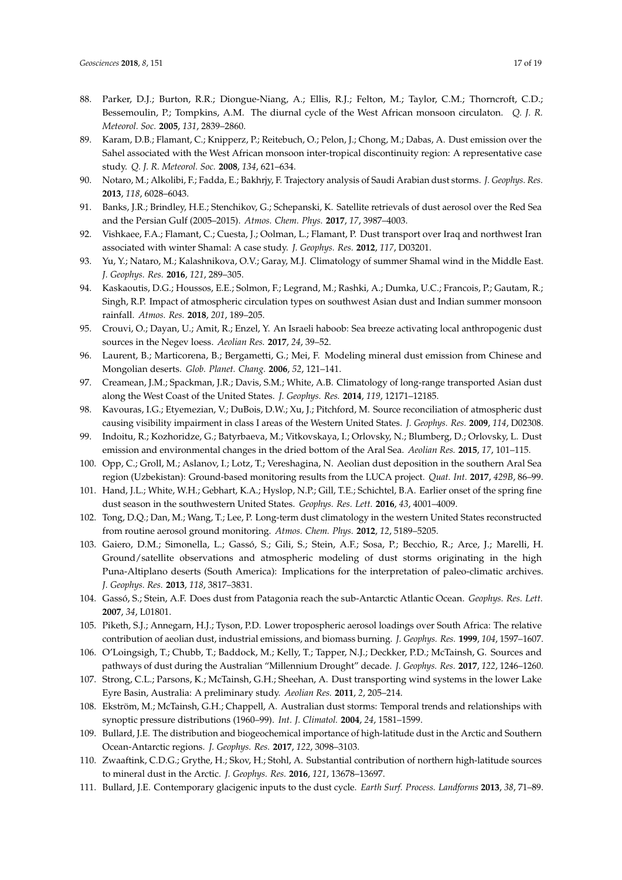- <span id="page-16-0"></span>88. Parker, D.J.; Burton, R.R.; Diongue-Niang, A.; Ellis, R.J.; Felton, M.; Taylor, C.M.; Thorncroft, C.D.; Bessemoulin, P.; Tompkins, A.M. The diurnal cycle of the West African monsoon circulaton. *Q. J. R. Meteorol. Soc.* **2005**, *131*, 2839–2860.
- <span id="page-16-1"></span>89. Karam, D.B.; Flamant, C.; Knipperz, P.; Reitebuch, O.; Pelon, J.; Chong, M.; Dabas, A. Dust emission over the Sahel associated with the West African monsoon inter-tropical discontinuity region: A representative case study. *Q. J. R. Meteorol. Soc.* **2008**, *134*, 621–634.
- <span id="page-16-2"></span>90. Notaro, M.; Alkolibi, F.; Fadda, E.; Bakhrjy, F. Trajectory analysis of Saudi Arabian dust storms. *J. Geophys. Res.* **2013**, *118*, 6028–6043.
- <span id="page-16-3"></span>91. Banks, J.R.; Brindley, H.E.; Stenchikov, G.; Schepanski, K. Satellite retrievals of dust aerosol over the Red Sea and the Persian Gulf (2005–2015). *Atmos. Chem. Phys.* **2017**, *17*, 3987–4003.
- <span id="page-16-4"></span>92. Vishkaee, F.A.; Flamant, C.; Cuesta, J.; Oolman, L.; Flamant, P. Dust transport over Iraq and northwest Iran associated with winter Shamal: A case study. *J. Geophys. Res.* **2012**, *117*, D03201.
- <span id="page-16-5"></span>93. Yu, Y.; Nataro, M.; Kalashnikova, O.V.; Garay, M.J. Climatology of summer Shamal wind in the Middle East. *J. Geophys. Res.* **2016**, *121*, 289–305.
- <span id="page-16-6"></span>94. Kaskaoutis, D.G.; Houssos, E.E.; Solmon, F.; Legrand, M.; Rashki, A.; Dumka, U.C.; Francois, P.; Gautam, R.; Singh, R.P. Impact of atmospheric circulation types on southwest Asian dust and Indian summer monsoon rainfall. *Atmos. Res.* **2018**, *201*, 189–205.
- <span id="page-16-7"></span>95. Crouvi, O.; Dayan, U.; Amit, R.; Enzel, Y. An Israeli haboob: Sea breeze activating local anthropogenic dust sources in the Negev loess. *Aeolian Res.* **2017**, *24*, 39–52.
- <span id="page-16-8"></span>96. Laurent, B.; Marticorena, B.; Bergametti, G.; Mei, F. Modeling mineral dust emission from Chinese and Mongolian deserts. *Glob. Planet. Chang.* **2006**, *52*, 121–141.
- <span id="page-16-9"></span>97. Creamean, J.M.; Spackman, J.R.; Davis, S.M.; White, A.B. Climatology of long-range transported Asian dust along the West Coast of the United States. *J. Geophys. Res.* **2014**, *119*, 12171–12185.
- <span id="page-16-10"></span>98. Kavouras, I.G.; Etyemezian, V.; DuBois, D.W.; Xu, J.; Pitchford, M. Source reconciliation of atmospheric dust causing visibility impairment in class I areas of the Western United States. *J. Geophys. Res.* **2009**, *114*, D02308.
- <span id="page-16-11"></span>99. Indoitu, R.; Kozhoridze, G.; Batyrbaeva, M.; Vitkovskaya, I.; Orlovsky, N.; Blumberg, D.; Orlovsky, L. Dust emission and environmental changes in the dried bottom of the Aral Sea. *Aeolian Res.* **2015**, *17*, 101–115.
- <span id="page-16-12"></span>100. Opp, C.; Groll, M.; Aslanov, I.; Lotz, T.; Vereshagina, N. Aeolian dust deposition in the southern Aral Sea region (Uzbekistan): Ground-based monitoring results from the LUCA project. *Quat. Int.* **2017**, *429B*, 86–99.
- <span id="page-16-13"></span>101. Hand, J.L.; White, W.H.; Gebhart, K.A.; Hyslop, N.P.; Gill, T.E.; Schichtel, B.A. Earlier onset of the spring fine dust season in the southwestern United States. *Geophys. Res. Lett.* **2016**, *43*, 4001–4009.
- <span id="page-16-14"></span>102. Tong, D.Q.; Dan, M.; Wang, T.; Lee, P. Long-term dust climatology in the western United States reconstructed from routine aerosol ground monitoring. *Atmos. Chem. Phys.* **2012**, *12*, 5189–5205.
- <span id="page-16-15"></span>103. Gaiero, D.M.; Simonella, L.; Gassó, S.; Gili, S.; Stein, A.F.; Sosa, P.; Becchio, R.; Arce, J.; Marelli, H. Ground/satellite observations and atmospheric modeling of dust storms originating in the high Puna-Altiplano deserts (South America): Implications for the interpretation of paleo-climatic archives. *J. Geophys. Res.* **2013**, *118*, 3817–3831.
- <span id="page-16-16"></span>104. Gassó, S.; Stein, A.F. Does dust from Patagonia reach the sub-Antarctic Atlantic Ocean. *Geophys. Res. Lett.* **2007**, *34*, L01801.
- <span id="page-16-17"></span>105. Piketh, S.J.; Annegarn, H.J.; Tyson, P.D. Lower tropospheric aerosol loadings over South Africa: The relative contribution of aeolian dust, industrial emissions, and biomass burning. *J. Geophys. Res.* **1999**, *104*, 1597–1607.
- <span id="page-16-18"></span>106. O'Loingsigh, T.; Chubb, T.; Baddock, M.; Kelly, T.; Tapper, N.J.; Deckker, P.D.; McTainsh, G. Sources and pathways of dust during the Australian "Millennium Drought" decade. *J. Geophys. Res.* **2017**, *122*, 1246–1260.
- <span id="page-16-19"></span>107. Strong, C.L.; Parsons, K.; McTainsh, G.H.; Sheehan, A. Dust transporting wind systems in the lower Lake Eyre Basin, Australia: A preliminary study. *Aeolian Res.* **2011**, *2*, 205–214.
- <span id="page-16-20"></span>108. Ekström, M.; McTainsh, G.H.; Chappell, A. Australian dust storms: Temporal trends and relationships with synoptic pressure distributions (1960–99). *Int. J. Climatol.* **2004**, *24*, 1581–1599.
- <span id="page-16-21"></span>109. Bullard, J.E. The distribution and biogeochemical importance of high-latitude dust in the Arctic and Southern Ocean-Antarctic regions. *J. Geophys. Res.* **2017**, *122*, 3098–3103.
- <span id="page-16-22"></span>110. Zwaaftink, C.D.G.; Grythe, H.; Skov, H.; Stohl, A. Substantial contribution of northern high-latitude sources to mineral dust in the Arctic. *J. Geophys. Res.* **2016**, *121*, 13678–13697.
- <span id="page-16-23"></span>111. Bullard, J.E. Contemporary glacigenic inputs to the dust cycle. *Earth Surf. Process. Landforms* **2013**, *38*, 71–89.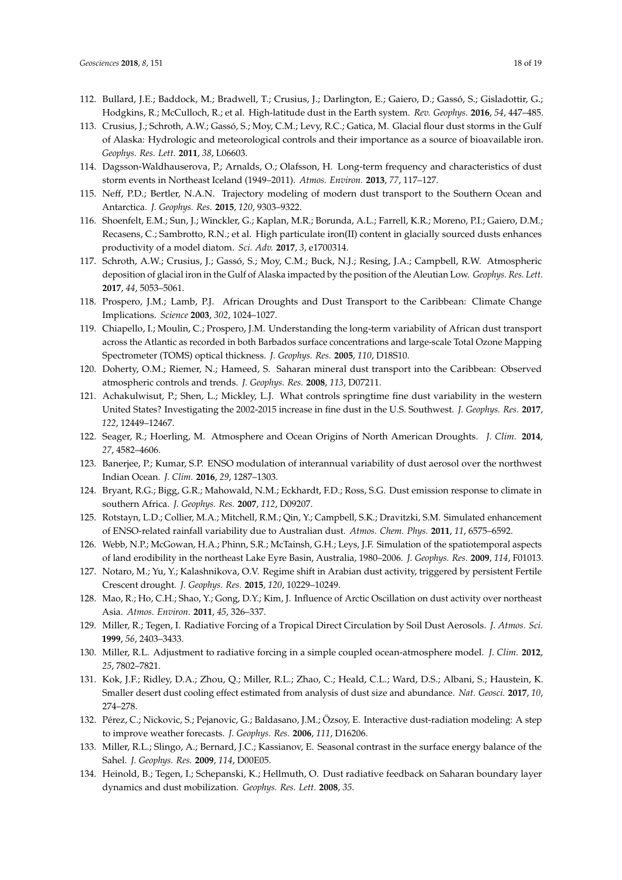- <span id="page-17-0"></span>112. Bullard, J.E.; Baddock, M.; Bradwell, T.; Crusius, J.; Darlington, E.; Gaiero, D.; Gassó, S.; Gisladottir, G.; Hodgkins, R.; McCulloch, R.; et al. High-latitude dust in the Earth system. *Rev. Geophys.* **2016**, *54*, 447–485.
- <span id="page-17-1"></span>113. Crusius, J.; Schroth, A.W.; Gassó, S.; Moy, C.M.; Levy, R.C.; Gatica, M. Glacial flour dust storms in the Gulf of Alaska: Hydrologic and meteorological controls and their importance as a source of bioavailable iron. *Geophys. Res. Lett.* **2011**, *38*, L06603.
- <span id="page-17-2"></span>114. Dagsson-Waldhauserova, P.; Arnalds, O.; Olafsson, H. Long-term frequency and characteristics of dust storm events in Northeast Iceland (1949–2011). *Atmos. Environ.* **2013**, *77*, 117–127.
- <span id="page-17-3"></span>115. Neff, P.D.; Bertler, N.A.N. Trajectory modeling of modern dust transport to the Southern Ocean and Antarctica. *J. Geophys. Res.* **2015**, *120*, 9303–9322.
- <span id="page-17-4"></span>116. Shoenfelt, E.M.; Sun, J.; Winckler, G.; Kaplan, M.R.; Borunda, A.L.; Farrell, K.R.; Moreno, P.I.; Gaiero, D.M.; Recasens, C.; Sambrotto, R.N.; et al. High particulate iron(II) content in glacially sourced dusts enhances productivity of a model diatom. *Sci. Adv.* **2017**, *3*, e1700314.
- <span id="page-17-5"></span>117. Schroth, A.W.; Crusius, J.; Gassó, S.; Moy, C.M.; Buck, N.J.; Resing, J.A.; Campbell, R.W. Atmospheric deposition of glacial iron in the Gulf of Alaska impacted by the position of the Aleutian Low. *Geophys. Res. Lett.* **2017**, *44*, 5053–5061.
- <span id="page-17-6"></span>118. Prospero, J.M.; Lamb, P.J. African Droughts and Dust Transport to the Caribbean: Climate Change Implications. *Science* **2003**, *302*, 1024–1027.
- <span id="page-17-7"></span>119. Chiapello, I.; Moulin, C.; Prospero, J.M. Understanding the long-term variability of African dust transport across the Atlantic as recorded in both Barbados surface concentrations and large-scale Total Ozone Mapping Spectrometer (TOMS) optical thickness. *J. Geophys. Res.* **2005**, *110*, D18S10.
- <span id="page-17-8"></span>120. Doherty, O.M.; Riemer, N.; Hameed, S. Saharan mineral dust transport into the Caribbean: Observed atmospheric controls and trends. *J. Geophys. Res.* **2008**, *113*, D07211.
- <span id="page-17-9"></span>121. Achakulwisut, P.; Shen, L.; Mickley, L.J. What controls springtime fine dust variability in the western United States? Investigating the 2002-2015 increase in fine dust in the U.S. Southwest. *J. Geophys. Res.* **2017**, *122*, 12449–12467.
- <span id="page-17-10"></span>122. Seager, R.; Hoerling, M. Atmosphere and Ocean Origins of North American Droughts. *J. Clim.* **2014**, *27*, 4582–4606.
- <span id="page-17-11"></span>123. Banerjee, P.; Kumar, S.P. ENSO modulation of interannual variability of dust aerosol over the northwest Indian Ocean. *J. Clim.* **2016**, *29*, 1287–1303.
- <span id="page-17-12"></span>124. Bryant, R.G.; Bigg, G.R.; Mahowald, N.M.; Eckhardt, F.D.; Ross, S.G. Dust emission response to climate in southern Africa. *J. Geophys. Res.* **2007**, *112*, D09207.
- <span id="page-17-13"></span>125. Rotstayn, L.D.; Collier, M.A.; Mitchell, R.M.; Qin, Y.; Campbell, S.K.; Dravitzki, S.M. Simulated enhancement of ENSO-related rainfall variability due to Australian dust. *Atmos. Chem. Phys.* **2011**, *11*, 6575–6592.
- <span id="page-17-14"></span>126. Webb, N.P.; McGowan, H.A.; Phinn, S.R.; McTainsh, G.H.; Leys, J.F. Simulation of the spatiotemporal aspects of land erodibility in the northeast Lake Eyre Basin, Australia, 1980–2006. *J. Geophys. Res.* **2009**, *114*, F01013.
- <span id="page-17-15"></span>127. Notaro, M.; Yu, Y.; Kalashnikova, O.V. Regime shift in Arabian dust activity, triggered by persistent Fertile Crescent drought. *J. Geophys. Res.* **2015**, *120*, 10229–10249.
- <span id="page-17-16"></span>128. Mao, R.; Ho, C.H.; Shao, Y.; Gong, D.Y.; Kim, J. Influence of Arctic Oscillation on dust activity over northeast Asia. *Atmos. Environ.* **2011**, *45*, 326–337.
- <span id="page-17-17"></span>129. Miller, R.; Tegen, I. Radiative Forcing of a Tropical Direct Circulation by Soil Dust Aerosols. *J. Atmos. Sci.* **1999**, *56*, 2403–3433.
- <span id="page-17-18"></span>130. Miller, R.L. Adjustment to radiative forcing in a simple coupled ocean-atmosphere model. *J. Clim.* **2012**, *25*, 7802–7821.
- <span id="page-17-19"></span>131. Kok, J.F.; Ridley, D.A.; Zhou, Q.; Miller, R.L.; Zhao, C.; Heald, C.L.; Ward, D.S.; Albani, S.; Haustein, K. Smaller desert dust cooling effect estimated from analysis of dust size and abundance. *Nat. Geosci.* **2017**, *10*, 274–278.
- <span id="page-17-20"></span>132. Pérez, C.; Nickovic, S.; Pejanovic, G.; Baldasano, J.M.; Özsoy, E. Interactive dust-radiation modeling: A step to improve weather forecasts. *J. Geophys. Res.* **2006**, *111*, D16206.
- <span id="page-17-21"></span>133. Miller, R.L.; Slingo, A.; Bernard, J.C.; Kassianov, E. Seasonal contrast in the surface energy balance of the Sahel. *J. Geophys. Res.* **2009**, *114*, D00E05.
- <span id="page-17-22"></span>134. Heinold, B.; Tegen, I.; Schepanski, K.; Hellmuth, O. Dust radiative feedback on Saharan boundary layer dynamics and dust mobilization. *Geophys. Res. Lett.* **2008**, *35*.